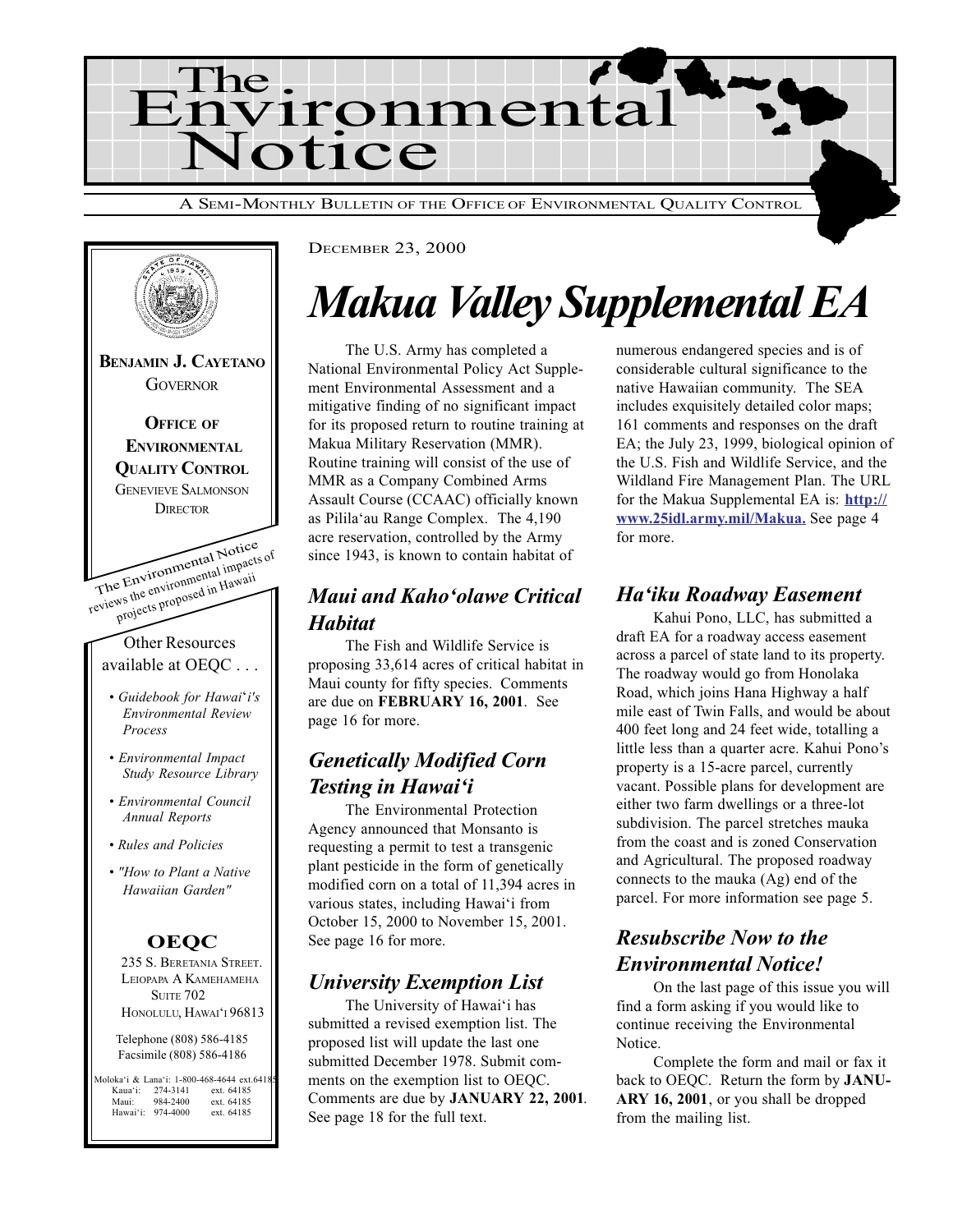



DECEMBER 23, 2000

## Makua Valley Supplemental EA

The U.S. Army has completed a National Environmental Policy Act Supplement Environmental Assessment and a mitigative finding of no significant impact for its proposed return to routine training at Makua Military Reservation (MMR). Routine training will consist of the use of MMR as a Company Combined Arms Assault Course (CCAAC) officially known as Pilila'au Range Complex. The 4,190 acre reservation, controlled by the Army since 1943, is known to contain habitat of

#### Maui and Kaho'olawe Critical **Habitat**

The Fish and Wildlife Service is proposing 33,614 acres of critical habitat in Maui county for fifty species. Comments are due on FEBRUARY 16, 2001. See page 16 for more.

#### Genetically Modified Corn Testing in Hawai'i

The Environmental Protection Agency announced that Monsanto is requesting a permit to test a transgenic plant pesticide in the form of genetically modified corn on a total of 11,394 acres in various states, including Hawai'i from October 15, 2000 to November 15, 2001. See page 16 for more.

#### University Exemption List

The University of Hawai'i has submitted a revised exemption list. The proposed list will update the last one submitted December 1978. Submit comments on the exemption list to OEQC. Comments are due by JANUARY 22, 2001. See page 18 for the full text.

numerous endangered species and is of considerable cultural significance to the native Hawaiian community. The SEA includes exquisitely detailed color maps; 161 comments and responses on the draft EA; the July 23, 1999, biological opinion of the U.S. Fish and Wildlife Service, and the Wildland Fire Management Plan. The URL for the Makua Supplemental EA is: http:// www.25idl.army.mil/Makua. See page 4 for more.

#### Ha'iku Roadway Easement

Kahui Pono, LLC, has submitted a draft EA for a roadway access easement across a parcel of state land to its property. The roadway would go from Honolaka Road, which joins Hana Highway a half mile east of Twin Falls, and would be about 400 feet long and 24 feet wide, totalling a little less than a quarter acre. Kahui Pono's property is a 15-acre parcel, currently vacant. Possible plans for development are either two farm dwellings or a three-lot subdivision. The parcel stretches mauka from the coast and is zoned Conservation and Agricultural. The proposed roadway connects to the mauka (Ag) end of the parcel. For more information see page 5.

#### Resubscribe Now to the Environmental Notice!

On the last page of this issue you will find a form asking if you would like to continue receiving the Environmental Notice.

Complete the form and mail or fax it back to OEQC. Return the form by JANU-ARY 16, 2001, or you shall be dropped from the mailing list.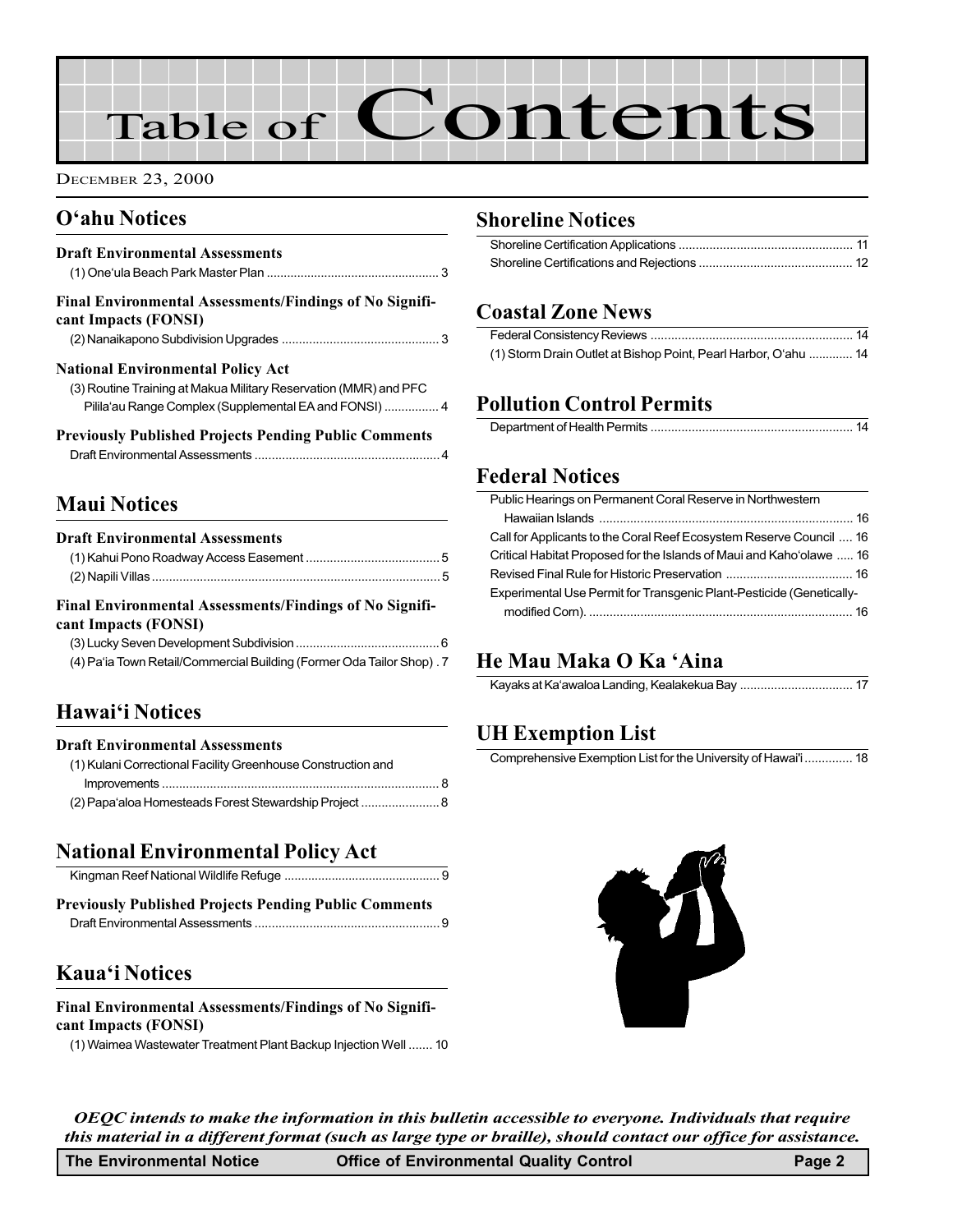# Table of Contents

DECEMBER 23, 2000

#### O'ahu Notices

| <b>Draft Environmental Assessments</b>                                                 |  |
|----------------------------------------------------------------------------------------|--|
| <b>Final Environmental Assessments/Findings of No Signifi-</b><br>cant Impacts (FONSI) |  |
|                                                                                        |  |
| <b>National Environmental Policy Act</b>                                               |  |
| (3) Routine Training at Makua Military Reservation (MMR) and PFC                       |  |
| Pilila'au Range Complex (Supplemental EA and FONSI)  4                                 |  |
| <b>Previously Published Projects Pending Public Comments</b>                           |  |
|                                                                                        |  |

#### Maui Notices

| <b>Draft Environmental Assessments</b>                                |  |  |
|-----------------------------------------------------------------------|--|--|
|                                                                       |  |  |
|                                                                       |  |  |
| Final Environmental Assessments/Findings of No Signifi-               |  |  |
| cant Impacts (FONSI)                                                  |  |  |
|                                                                       |  |  |
| (4) Pa'ia Town Retail/Commercial Building (Former Oda Tailor Shop). 7 |  |  |
|                                                                       |  |  |
|                                                                       |  |  |

#### Hawai'i Notices

| <b>Draft Environmental Assessments</b> |  |
|----------------------------------------|--|
|                                        |  |

| (1) Kulani Correctional Facility Greenhouse Construction and |  |
|--------------------------------------------------------------|--|
|                                                              |  |
| (2) Papa'aloa Homesteads Forest Stewardship Project  8       |  |

#### National Environmental Policy Act

| <b>Previously Published Projects Pending Public Comments</b> |  |
|--------------------------------------------------------------|--|

| reviously a uphoneu a rojecto a enume a uphe commento |  |
|-------------------------------------------------------|--|
|                                                       |  |

#### Kaua'i Notices

#### Final Environmental Assessments/Findings of No Significant Impacts (FONSI)

[\(1\) Waimea Wastewater Treatment Plant Backup Injection Well](#page-9-0) ....... 10

#### Shoreline Notices

#### Coastal Zone News

| (1) Storm Drain Outlet at Bishop Point, Pearl Harbor, O'ahu  14 |  |
|-----------------------------------------------------------------|--|

#### Pollution Control Permits

#### Federal Notices

| Public Hearings on Permanent Coral Reserve in Northwestern           |  |
|----------------------------------------------------------------------|--|
|                                                                      |  |
| Call for Applicants to the Coral Reef Ecosystem Reserve Council  16  |  |
| Critical Habitat Proposed for the Islands of Maui and Kaho'olawe  16 |  |
|                                                                      |  |
| Experimental Use Permit for Transgenic Plant-Pesticide (Genetically- |  |
|                                                                      |  |
|                                                                      |  |

#### He Mau Maka O Ka 'Aina

#### UH Exemption List

Comprehensive Exemption List for the University of Hawai'i.............. 18



ı

OEQC intends to make the information in this bulletin accessible to everyone. Individuals that require this material in a different format (such as large type or braille), should contact our office for assistance.

| The Environmental Notice | Page 2<br><b>Office of Environmental Quality Control</b> |
|--------------------------|----------------------------------------------------------|
|--------------------------|----------------------------------------------------------|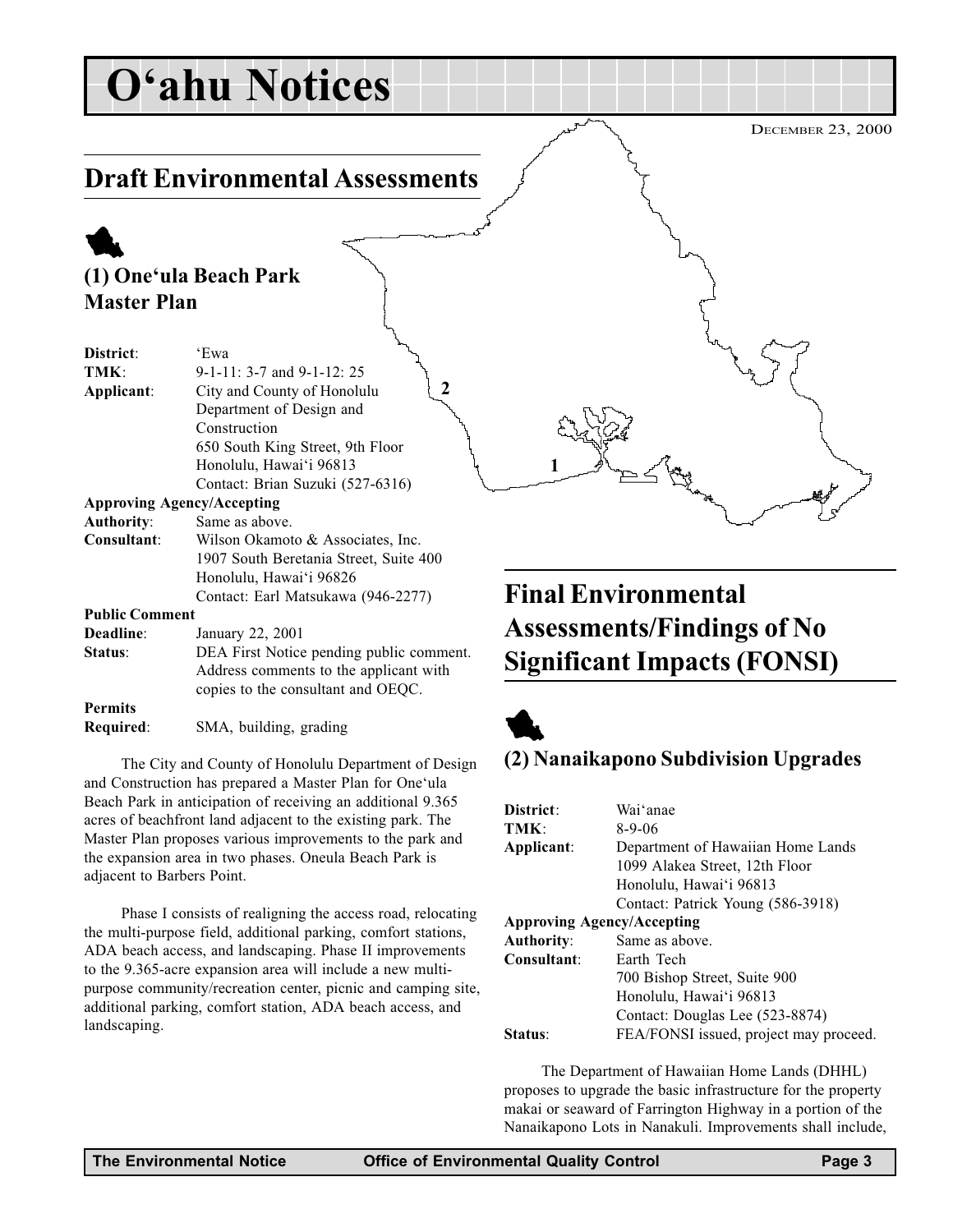## <span id="page-2-0"></span>O'ahu Notices

### Draft Environmental Assessments

### 1

#### (1) One'ula Beach Park Master Plan

| District:             | 'Ewa                                     |
|-----------------------|------------------------------------------|
|                       |                                          |
| TMK:                  | $9-1-11: 3-7$ and $9-1-12: 25$           |
| Applicant:            | 2<br>City and County of Honolulu         |
|                       | Department of Design and                 |
|                       | Construction                             |
|                       | 650 South King Street, 9th Floor         |
|                       | Honolulu, Hawai'i 96813                  |
|                       | Contact: Brian Suzuki (527-6316)         |
|                       | <b>Approving Agency/Accepting</b>        |
| <b>Authority:</b>     | Same as above.                           |
| Consultant:           | Wilson Okamoto & Associates, Inc.        |
|                       | 1907 South Beretania Street, Suite 400   |
|                       | Honolulu, Hawai'i 96826                  |
|                       | Contact: Earl Matsukawa (946-2277)       |
| <b>Public Comment</b> |                                          |
| Deadline:             | January 22, 2001                         |
| Status:               | DEA First Notice pending public comment. |

Address comments to the applicant with copies to the consultant and OEQC. Permits

Required: SMA, building, grading

The City and County of Honolulu Department of Design and Construction has prepared a Master Plan for One'ula Beach Park in anticipation of receiving an additional 9.365 acres of beachfront land adjacent to the existing park. The Master Plan proposes various improvements to the park and the expansion area in two phases. Oneula Beach Park is adjacent to Barbers Point.

Phase I consists of realigning the access road, relocating the multi-purpose field, additional parking, comfort stations, ADA beach access, and landscaping. Phase II improvements to the 9.365-acre expansion area will include a new multipurpose community/recreation center, picnic and camping site, additional parking, comfort station, ADA beach access, and landscaping.

### Final Environmental Assessments/Findings of No Significant Impacts (FONSI)



1

#### (2) Nanaikapono Subdivision Upgrades

| District:                         | Wai'anae                               |
|-----------------------------------|----------------------------------------|
| TMK:                              | $8-9-06$                               |
| Applicant:                        | Department of Hawaiian Home Lands      |
|                                   | 1099 Alakea Street, 12th Floor         |
|                                   | Honolulu, Hawai'i 96813                |
|                                   | Contact: Patrick Young (586-3918)      |
| <b>Approving Agency/Accepting</b> |                                        |
| <b>Authority:</b>                 | Same as above.                         |
| Consultant:                       | Earth Tech                             |
|                                   | 700 Bishop Street, Suite 900           |
|                                   | Honolulu, Hawai'i 96813                |
|                                   | Contact: Douglas Lee (523-8874)        |
| Status:                           | FEA/FONSI issued, project may proceed. |

The Department of Hawaiian Home Lands (DHHL) proposes to upgrade the basic infrastructure for the property makai or seaward of Farrington Highway in a portion of the Nanaikapono Lots in Nanakuli. Improvements shall include,

DECEMBER 23, 2000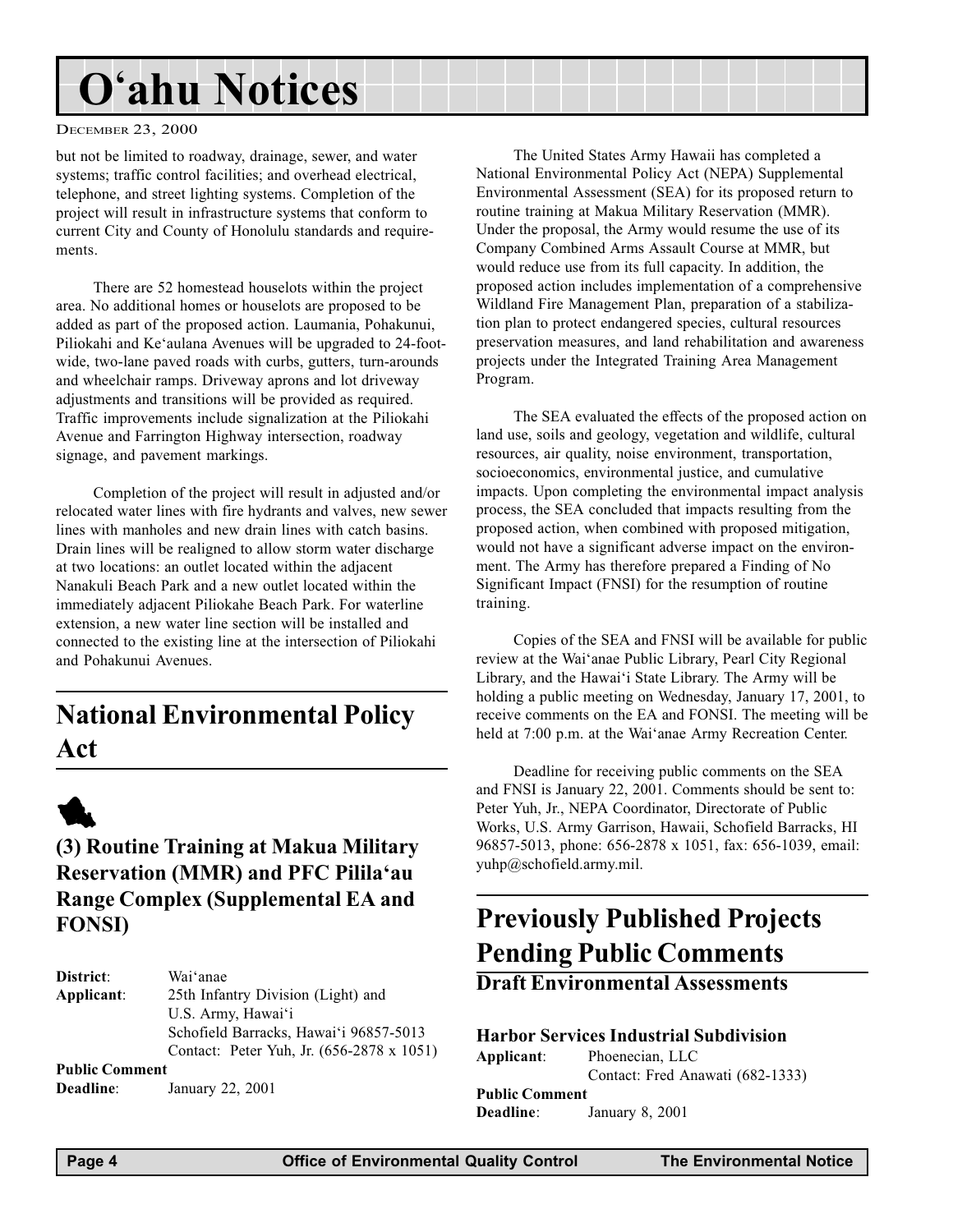## <span id="page-3-0"></span>O'ahu Notices

#### DECEMBER 23, 2000

but not be limited to roadway, drainage, sewer, and water systems; traffic control facilities; and overhead electrical, telephone, and street lighting systems. Completion of the project will result in infrastructure systems that conform to current City and County of Honolulu standards and requirements.

There are 52 homestead houselots within the project area. No additional homes or houselots are proposed to be added as part of the proposed action. Laumania, Pohakunui, Piliokahi and Ke'aulana Avenues will be upgraded to 24-footwide, two-lane paved roads with curbs, gutters, turn-arounds and wheelchair ramps. Driveway aprons and lot driveway adjustments and transitions will be provided as required. Traffic improvements include signalization at the Piliokahi Avenue and Farrington Highway intersection, roadway signage, and pavement markings.

Completion of the project will result in adjusted and/or relocated water lines with fire hydrants and valves, new sewer lines with manholes and new drain lines with catch basins. Drain lines will be realigned to allow storm water discharge at two locations: an outlet located within the adjacent Nanakuli Beach Park and a new outlet located within the immediately adjacent Piliokahe Beach Park. For waterline extension, a new water line section will be installed and connected to the existing line at the intersection of Piliokahi and Pohakunui Avenues.

### National Environmental Policy Act



#### (3) Routine Training at Makua Military Reservation (MMR) and PFC Pilila'au Range Complex (Supplemental EA and FONSI)

| District:             | Wai anae                                  |
|-----------------------|-------------------------------------------|
| Applicant:            | 25th Infantry Division (Light) and        |
|                       | U.S. Army, Hawai'i                        |
|                       | Schofield Barracks, Hawai'i 96857-5013    |
|                       | Contact: Peter Yuh, Jr. (656-2878 x 1051) |
| <b>Public Comment</b> |                                           |

Deadline: January 22, 2001

The United States Army Hawaii has completed a National Environmental Policy Act (NEPA) Supplemental Environmental Assessment (SEA) for its proposed return to routine training at Makua Military Reservation (MMR). Under the proposal, the Army would resume the use of its Company Combined Arms Assault Course at MMR, but would reduce use from its full capacity. In addition, the proposed action includes implementation of a comprehensive Wildland Fire Management Plan, preparation of a stabilization plan to protect endangered species, cultural resources preservation measures, and land rehabilitation and awareness projects under the Integrated Training Area Management Program.

The SEA evaluated the effects of the proposed action on land use, soils and geology, vegetation and wildlife, cultural resources, air quality, noise environment, transportation, socioeconomics, environmental justice, and cumulative impacts. Upon completing the environmental impact analysis process, the SEA concluded that impacts resulting from the proposed action, when combined with proposed mitigation, would not have a significant adverse impact on the environment. The Army has therefore prepared a Finding of No Significant Impact (FNSI) for the resumption of routine training.

Copies of the SEA and FNSI will be available for public review at the Wai'anae Public Library, Pearl City Regional Library, and the Hawai'i State Library. The Army will be holding a public meeting on Wednesday, January 17, 2001, to receive comments on the EA and FONSI. The meeting will be held at 7:00 p.m. at the Wai'anae Army Recreation Center.

Deadline for receiving public comments on the SEA and FNSI is January 22, 2001. Comments should be sent to: Peter Yuh, Jr., NEPA Coordinator, Directorate of Public Works, U.S. Army Garrison, Hawaii, Schofield Barracks, HI 96857-5013, phone: 656-2878 x 1051, fax: 656-1039, email: yuhp@schofield.army.mil.

### Previously Published Projects Pending Public Comments

Draft Environmental Assessments

#### Harbor Services Industrial Subdivision

Applicant: Phoenecian, LLC Contact: Fred Anawati (682-1333) Public Comment Deadline: January 8, 2001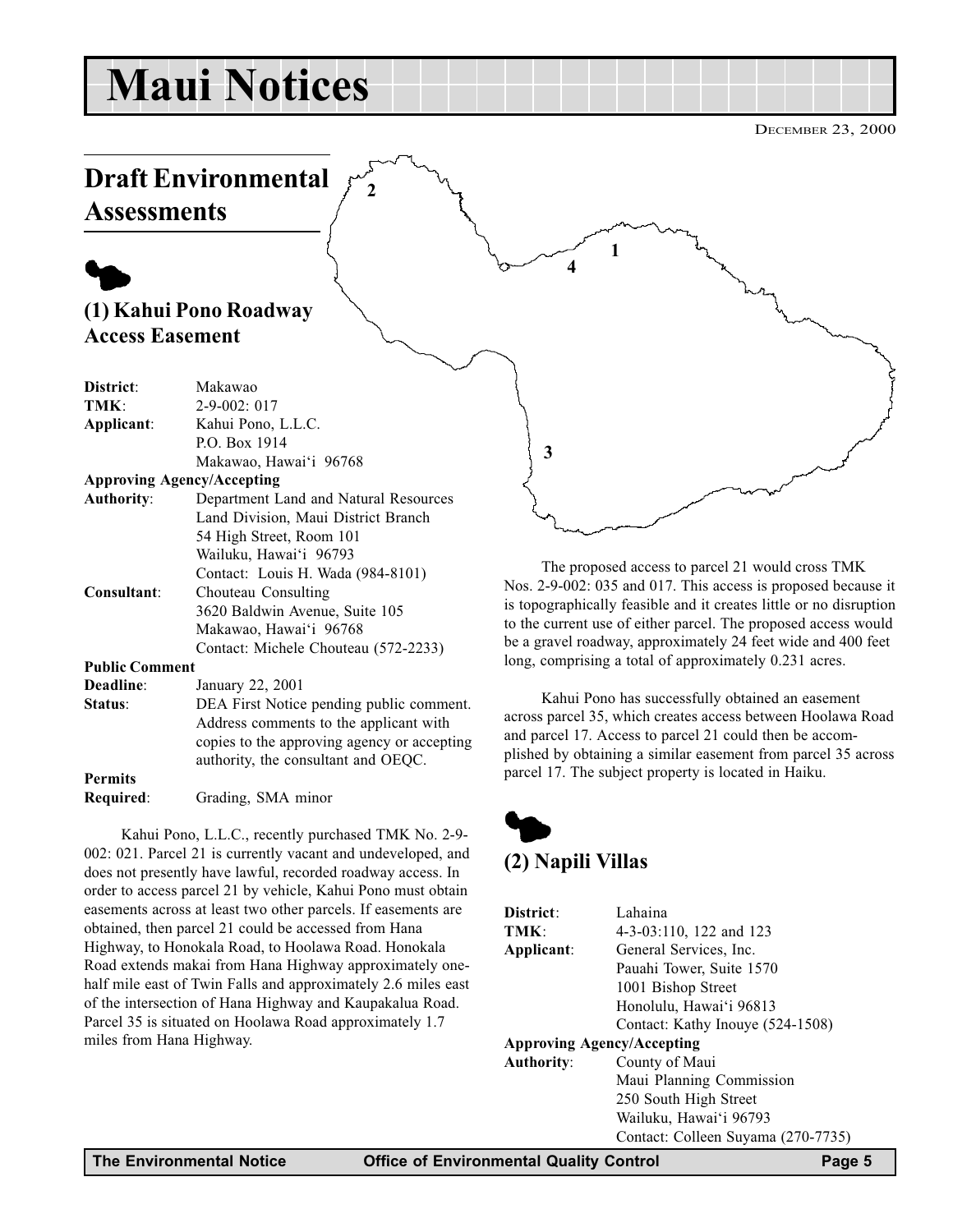## <span id="page-4-0"></span>Maui Notices

2

DECEMBER 23, 2000

### Draft Environmental **Assessments**

### $\blacklozenge$ (1) Kahui Pono Roadway Access Easement

| District:             | Makawao                                     |
|-----------------------|---------------------------------------------|
| TMK:                  | $2 - 9 - 002$ : 017                         |
| Applicant:            | Kahui Pono, L.L.C.                          |
|                       | P.O. Box 1914                               |
|                       | Makawao, Hawai'i 96768                      |
|                       | <b>Approving Agency/Accepting</b>           |
| <b>Authority:</b>     | Department Land and Natural Resources       |
|                       | Land Division, Maui District Branch         |
|                       | 54 High Street, Room 101                    |
|                       | Wailuku, Hawai'i 96793                      |
|                       | Contact: Louis H. Wada (984-8101)           |
| Consultant:           | Chouteau Consulting                         |
|                       | 3620 Baldwin Avenue, Suite 105              |
|                       | Makawao, Hawai'i 96768                      |
|                       | Contact: Michele Chouteau (572-2233)        |
| <b>Public Comment</b> |                                             |
| Deadline:             | January 22, 2001                            |
| Status:               | DEA First Notice pending public comment.    |
|                       | Address comments to the applicant with      |
|                       | copies to the approving agency or accepting |
|                       | authority, the consultant and OEQC.         |

#### Permits

Required: Grading, SMA minor

Kahui Pono, L.L.C., recently purchased TMK No. 2-9- 002: 021. Parcel 21 is currently vacant and undeveloped, and does not presently have lawful, recorded roadway access. In order to access parcel 21 by vehicle, Kahui Pono must obtain easements across at least two other parcels. If easements are obtained, then parcel 21 could be accessed from Hana Highway, to Honokala Road, to Hoolawa Road. Honokala Road extends makai from Hana Highway approximately onehalf mile east of Twin Falls and approximately 2.6 miles east of the intersection of Hana Highway and Kaupakalua Road. Parcel 35 is situated on Hoolawa Road approximately 1.7 miles from Hana Highway.

The proposed access to parcel 21 would cross TMK Nos. 2-9-002: 035 and 017. This access is proposed because it is topographically feasible and it creates little or no disruption to the current use of either parcel. The proposed access would be a gravel roadway, approximately 24 feet wide and 400 feet long, comprising a total of approximately 0.231 acres.

1

4

Kahui Pono has successfully obtained an easement across parcel 35, which creates access between Hoolawa Road and parcel 17. Access to parcel 21 could then be accomplished by obtaining a similar easement from parcel 35 across parcel 17. The subject property is located in Haiku.

### $\blacklozenge$

3

#### (2) Napili Villas

| Lahaina                            |
|------------------------------------|
| 4-3-03:110, 122 and 123            |
| General Services, Inc.             |
| Pauahi Tower, Suite 1570           |
| 1001 Bishop Street                 |
| Honolulu, Hawai'i 96813            |
| Contact: Kathy Inouye (524-1508)   |
| <b>Approving Agency/Accepting</b>  |
| County of Maui                     |
| Maui Planning Commission           |
| 250 South High Street              |
| Wailuku, Hawai'i 96793             |
| Contact: Colleen Suyama (270-7735) |
|                                    |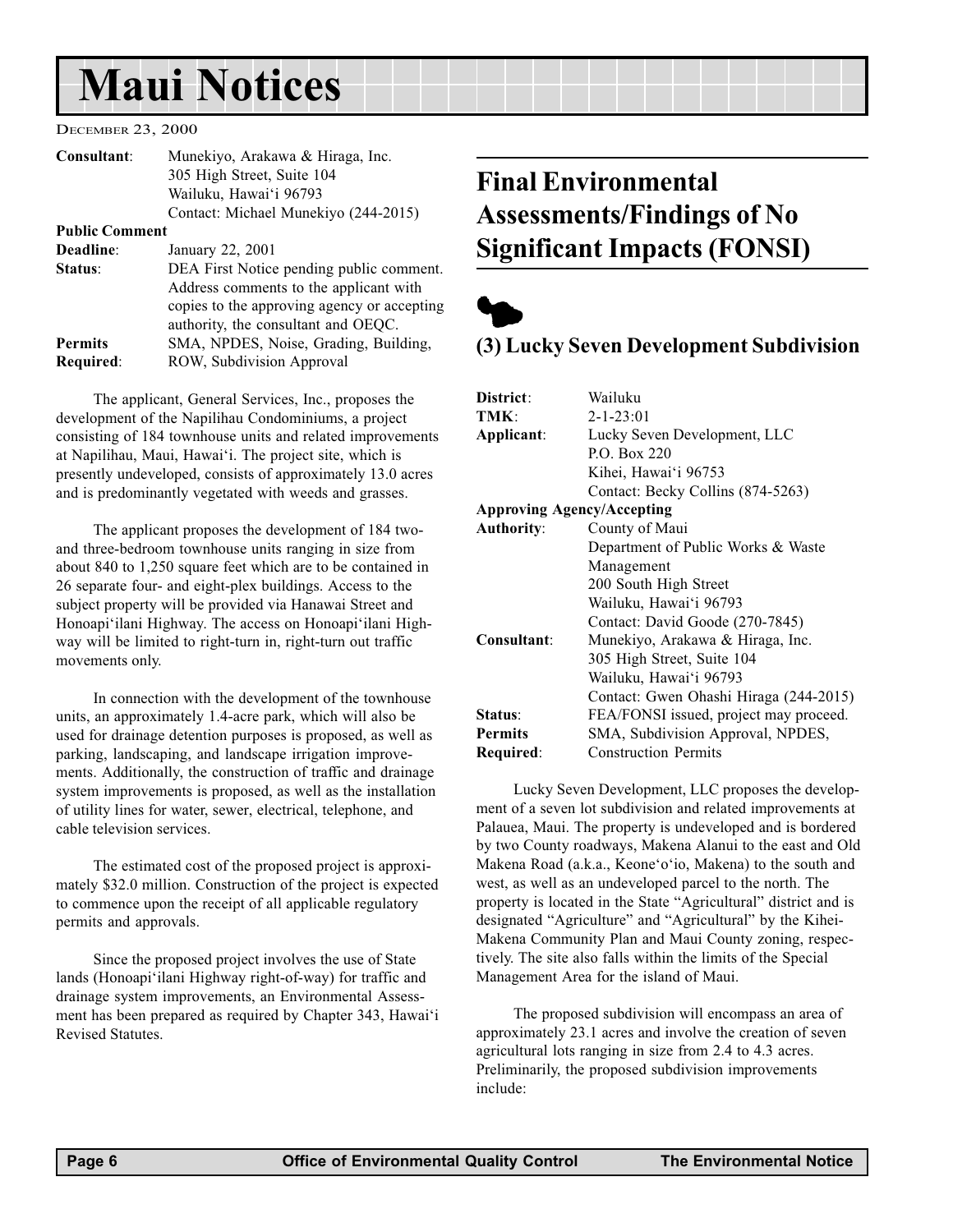## <span id="page-5-0"></span>Maui Notices

#### DECEMBER 23, 2000

| Consultant:           | Munekiyo, Arakawa & Hiraga, Inc.<br>305 High Street, Suite 104<br>Wailuku, Hawai'i 96793<br>Contact: Michael Munekiyo (244-2015)                                         |
|-----------------------|--------------------------------------------------------------------------------------------------------------------------------------------------------------------------|
| <b>Public Comment</b> |                                                                                                                                                                          |
| Deadline:             | January 22, 2001                                                                                                                                                         |
| Status:               | DEA First Notice pending public comment.<br>Address comments to the applicant with<br>copies to the approving agency or accepting<br>authority, the consultant and OEQC. |
| <b>Permits</b>        | SMA, NPDES, Noise, Grading, Building,                                                                                                                                    |
| Required:             | ROW, Subdivision Approval                                                                                                                                                |

The applicant, General Services, Inc., proposes the development of the Napilihau Condominiums, a project consisting of 184 townhouse units and related improvements at Napilihau, Maui, Hawai'i. The project site, which is presently undeveloped, consists of approximately 13.0 acres and is predominantly vegetated with weeds and grasses.

The applicant proposes the development of 184 twoand three-bedroom townhouse units ranging in size from about 840 to 1,250 square feet which are to be contained in 26 separate four- and eight-plex buildings. Access to the subject property will be provided via Hanawai Street and Honoapi'ilani Highway. The access on Honoapi'ilani Highway will be limited to right-turn in, right-turn out traffic movements only.

In connection with the development of the townhouse units, an approximately 1.4-acre park, which will also be used for drainage detention purposes is proposed, as well as parking, landscaping, and landscape irrigation improvements. Additionally, the construction of traffic and drainage system improvements is proposed, as well as the installation of utility lines for water, sewer, electrical, telephone, and cable television services.

The estimated cost of the proposed project is approximately \$32.0 million. Construction of the project is expected to commence upon the receipt of all applicable regulatory permits and approvals.

Since the proposed project involves the use of State lands (Honoapi'ilani Highway right-of-way) for traffic and drainage system improvements, an Environmental Assessment has been prepared as required by Chapter 343, Hawai'i Revised Statutes.

### Final Environmental Assessments/Findings of No Significant Impacts (FONSI)



#### (3) Lucky Seven Development Subdivision

| District:                         | Wailuku                                |
|-----------------------------------|----------------------------------------|
| TMK:                              | $2 - 1 - 23:01$                        |
| Applicant:                        | Lucky Seven Development, LLC           |
|                                   | P.O. Box 220                           |
|                                   | Kihei, Hawai'i 96753                   |
|                                   | Contact: Becky Collins (874-5263)      |
| <b>Approving Agency/Accepting</b> |                                        |
| <b>Authority:</b>                 | County of Maui                         |
|                                   | Department of Public Works & Waste     |
|                                   | Management                             |
|                                   | 200 South High Street                  |
|                                   | Wailuku, Hawai'i 96793                 |
|                                   | Contact: David Goode (270-7845)        |
| Consultant:                       | Munekiyo, Arakawa & Hiraga, Inc.       |
|                                   | 305 High Street, Suite 104             |
|                                   | Wailuku, Hawai'i 96793                 |
|                                   | Contact: Gwen Ohashi Hiraga (244-2015) |
| Status:                           | FEA/FONSI issued, project may proceed. |
| <b>Permits</b>                    | SMA, Subdivision Approval, NPDES,      |
| Required:                         | <b>Construction Permits</b>            |

Lucky Seven Development, LLC proposes the development of a seven lot subdivision and related improvements at Palauea, Maui. The property is undeveloped and is bordered by two County roadways, Makena Alanui to the east and Old Makena Road (a.k.a., Keone'o'io, Makena) to the south and west, as well as an undeveloped parcel to the north. The property is located in the State "Agricultural" district and is designated "Agriculture" and "Agricultural" by the Kihei-Makena Community Plan and Maui County zoning, respectively. The site also falls within the limits of the Special Management Area for the island of Maui.

The proposed subdivision will encompass an area of approximately 23.1 acres and involve the creation of seven agricultural lots ranging in size from 2.4 to 4.3 acres. Preliminarily, the proposed subdivision improvements include: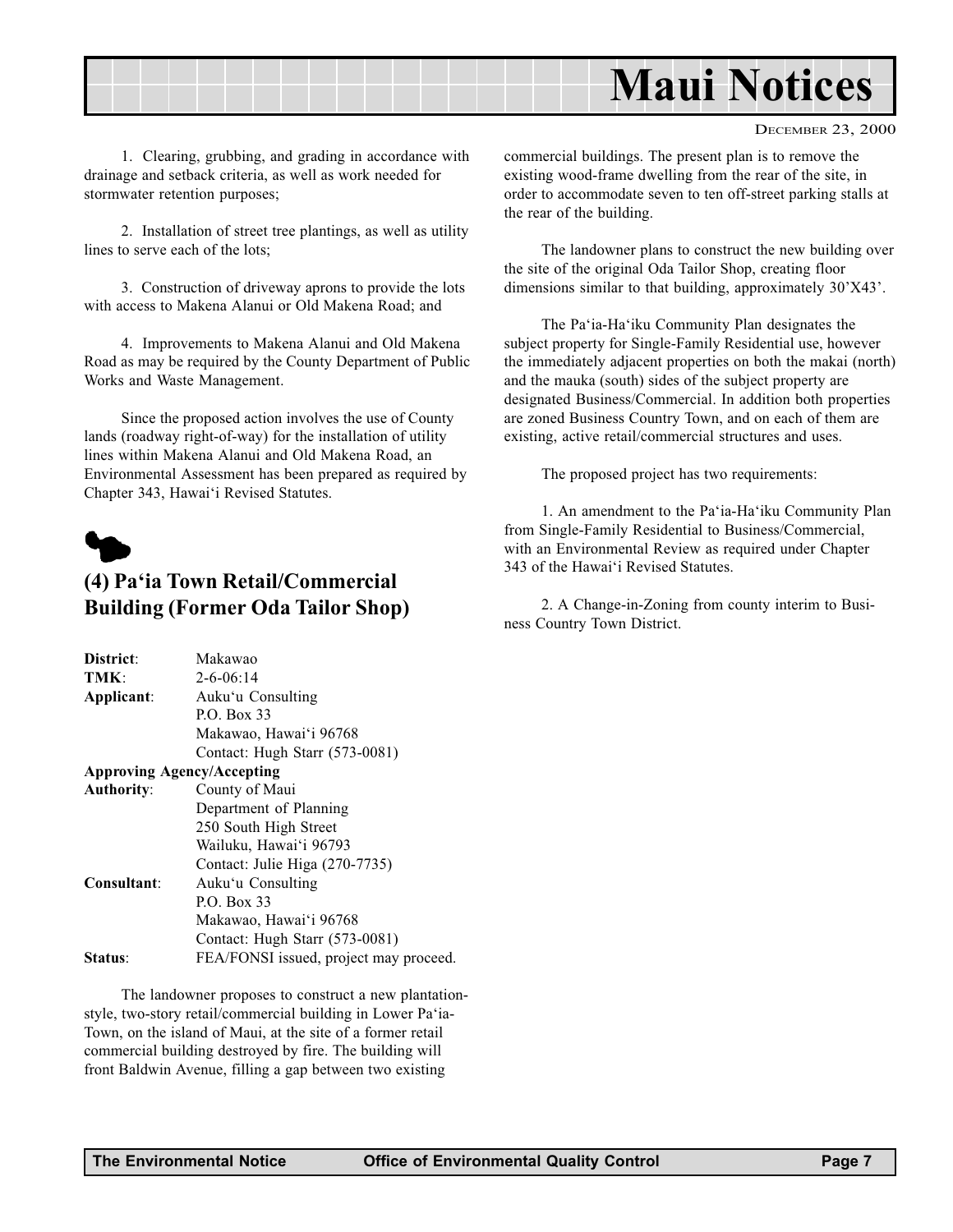<span id="page-6-0"></span>

DECEMBER 23, 2000

1. Clearing, grubbing, and grading in accordance with drainage and setback criteria, as well as work needed for stormwater retention purposes;

2. Installation of street tree plantings, as well as utility lines to serve each of the lots;

3. Construction of driveway aprons to provide the lots with access to Makena Alanui or Old Makena Road; and

4. Improvements to Makena Alanui and Old Makena Road as may be required by the County Department of Public Works and Waste Management.

Since the proposed action involves the use of County lands (roadway right-of-way) for the installation of utility lines within Makena Alanui and Old Makena Road, an Environmental Assessment has been prepared as required by Chapter 343, Hawai'i Revised Statutes.



#### (4) Pa'ia Town Retail/Commercial Building (Former Oda Tailor Shop)

| District:                         | Makawao                                |
|-----------------------------------|----------------------------------------|
| TMK:                              | $2 - 6 - 06:14$                        |
| Applicant:                        | Auku'u Consulting                      |
|                                   | P.O. Box 33                            |
|                                   | Makawao, Hawai'i 96768                 |
|                                   | Contact: Hugh Starr (573-0081)         |
| <b>Approving Agency/Accepting</b> |                                        |
| <b>Authority:</b>                 | County of Maui                         |
|                                   | Department of Planning                 |
|                                   | 250 South High Street                  |
|                                   | Wailuku, Hawai'i 96793                 |
|                                   | Contact: Julie Higa (270-7735)         |
| Consultant:                       | Auku'u Consulting                      |
|                                   | P.O. Box 33                            |
|                                   | Makawao, Hawai'i 96768                 |
|                                   | Contact: Hugh Starr (573-0081)         |
| <b>Status:</b>                    | FEA/FONSI issued, project may proceed. |
|                                   |                                        |

The landowner proposes to construct a new plantationstyle, two-story retail/commercial building in Lower Pa'ia-Town, on the island of Maui, at the site of a former retail commercial building destroyed by fire. The building will front Baldwin Avenue, filling a gap between two existing

commercial buildings. The present plan is to remove the existing wood-frame dwelling from the rear of the site, in order to accommodate seven to ten off-street parking stalls at the rear of the building.

The landowner plans to construct the new building over the site of the original Oda Tailor Shop, creating floor dimensions similar to that building, approximately 30'X43'.

The Pa'ia-Ha'iku Community Plan designates the subject property for Single-Family Residential use, however the immediately adjacent properties on both the makai (north) and the mauka (south) sides of the subject property are designated Business/Commercial. In addition both properties are zoned Business Country Town, and on each of them are existing, active retail/commercial structures and uses.

The proposed project has two requirements:

1. An amendment to the Pa'ia-Ha'iku Community Plan from Single-Family Residential to Business/Commercial, with an Environmental Review as required under Chapter 343 of the Hawai'i Revised Statutes.

2. A Change-in-Zoning from county interim to Business Country Town District.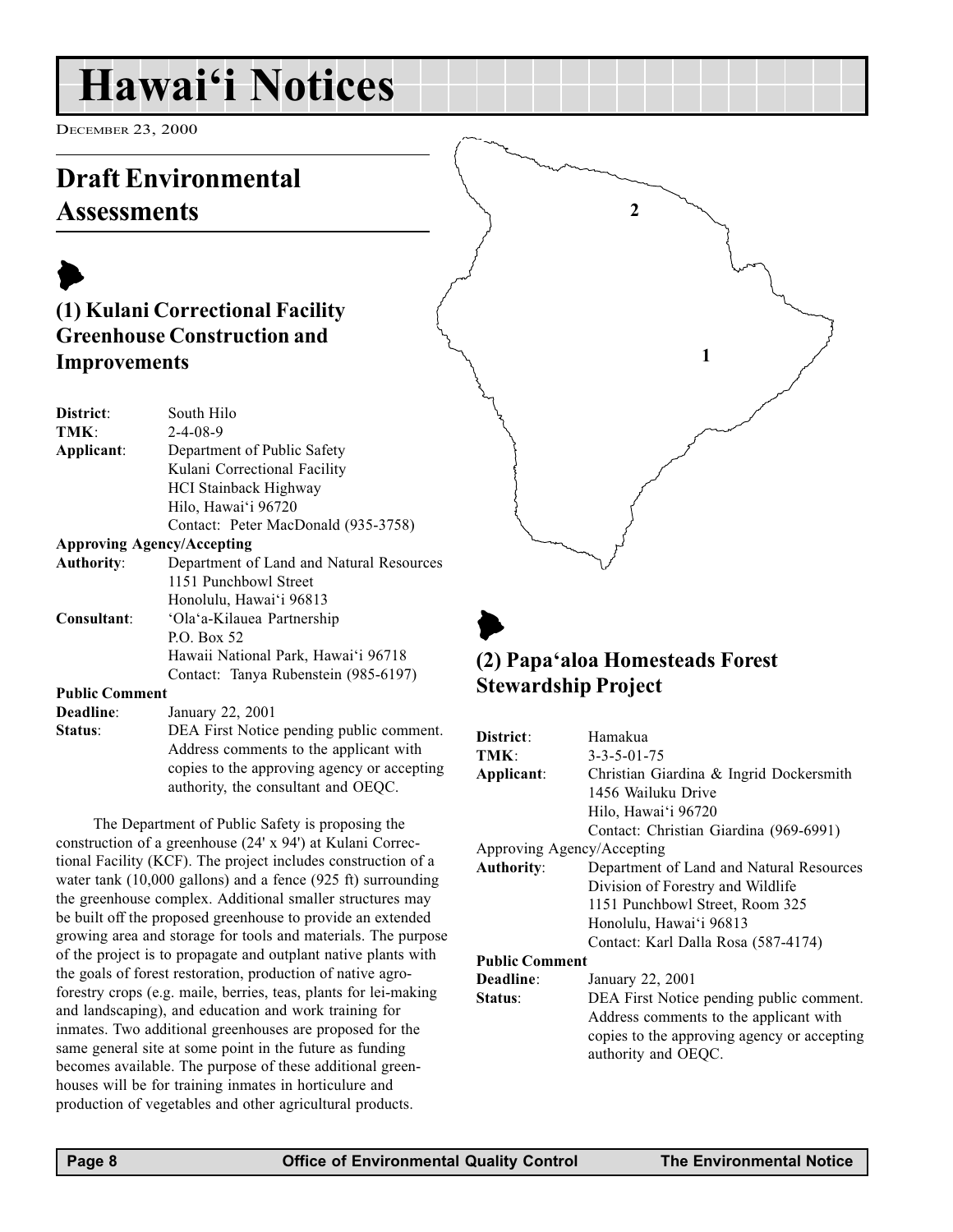### <span id="page-7-0"></span>Hawai'i Notices

DECEMBER 23, 2000

### Draft Environmental **Assessments**

#### $\blacktriangleright$ (1) Kulani Correctional Facility Greenhouse Construction and Improvements

| District:                         | South Hilo                               |
|-----------------------------------|------------------------------------------|
| TMK:                              | $2 - 4 - 08 - 9$                         |
| Applicant:                        | Department of Public Safety              |
|                                   | Kulani Correctional Facility             |
|                                   | <b>HCI</b> Stainback Highway             |
|                                   | Hilo, Hawai'i 96720                      |
|                                   | Contact: Peter MacDonald (935-3758)      |
| <b>Approving Agency/Accepting</b> |                                          |
| <b>Authority:</b>                 | Department of Land and Natural Resources |
|                                   | 1151 Punchbowl Street                    |
|                                   | Honolulu, Hawai'i 96813                  |
| Consultant:                       | 'Ola'a-Kilauea Partnership               |
|                                   | P.O. Box 52                              |
|                                   | Hawaii National Park, Hawai'i 96718      |
|                                   | Contact: Tanya Rubenstein (985-6197)     |

#### Public Comment

Deadline: January 22, 2001

| Status: | DEA First Notice pending public comment.    |
|---------|---------------------------------------------|
|         | Address comments to the applicant with      |
|         | copies to the approving agency or accepting |
|         | authority, the consultant and OEQC.         |

The Department of Public Safety is proposing the construction of a greenhouse (24' x 94') at Kulani Correctional Facility (KCF). The project includes construction of a water tank (10,000 gallons) and a fence (925 ft) surrounding the greenhouse complex. Additional smaller structures may be built off the proposed greenhouse to provide an extended growing area and storage for tools and materials. The purpose of the project is to propagate and outplant native plants with the goals of forest restoration, production of native agroforestry crops (e.g. maile, berries, teas, plants for lei-making and landscaping), and education and work training for inmates. Two additional greenhouses are proposed for the same general site at some point in the future as funding becomes available. The purpose of these additional greenhouses will be for training inmates in horticulure and production of vegetables and other agricultural products.

### $\blacktriangleright$ (2) Papa'aloa Homesteads Forest Stewardship Project

2

1

| District:                  | Hamakua                                                            |
|----------------------------|--------------------------------------------------------------------|
| TMK:                       | $3 - 3 - 5 - 01 - 75$                                              |
| Applicant:                 | Christian Giardina & Ingrid Dockersmith                            |
|                            | 1456 Wailuku Drive                                                 |
|                            | Hilo, Hawai'i 96720                                                |
|                            | Contact: Christian Giardina (969-6991)                             |
| Approving Agency/Accepting |                                                                    |
| <b>Authority:</b>          | Department of Land and Natural Resources                           |
|                            | Division of Forestry and Wildlife                                  |
|                            | 1151 Punchbowl Street, Room 325                                    |
|                            | Honolulu, Hawai'i 96813                                            |
|                            | Contact: Karl Dalla Rosa (587-4174)                                |
| <b>Public Comment</b>      |                                                                    |
| Deadline:                  | January 22, 2001                                                   |
| Status:                    | DEA First Notice pending public comment.                           |
|                            | Address comments to the applicant with                             |
|                            | copies to the approving agency or accepting<br>authority and OEQC. |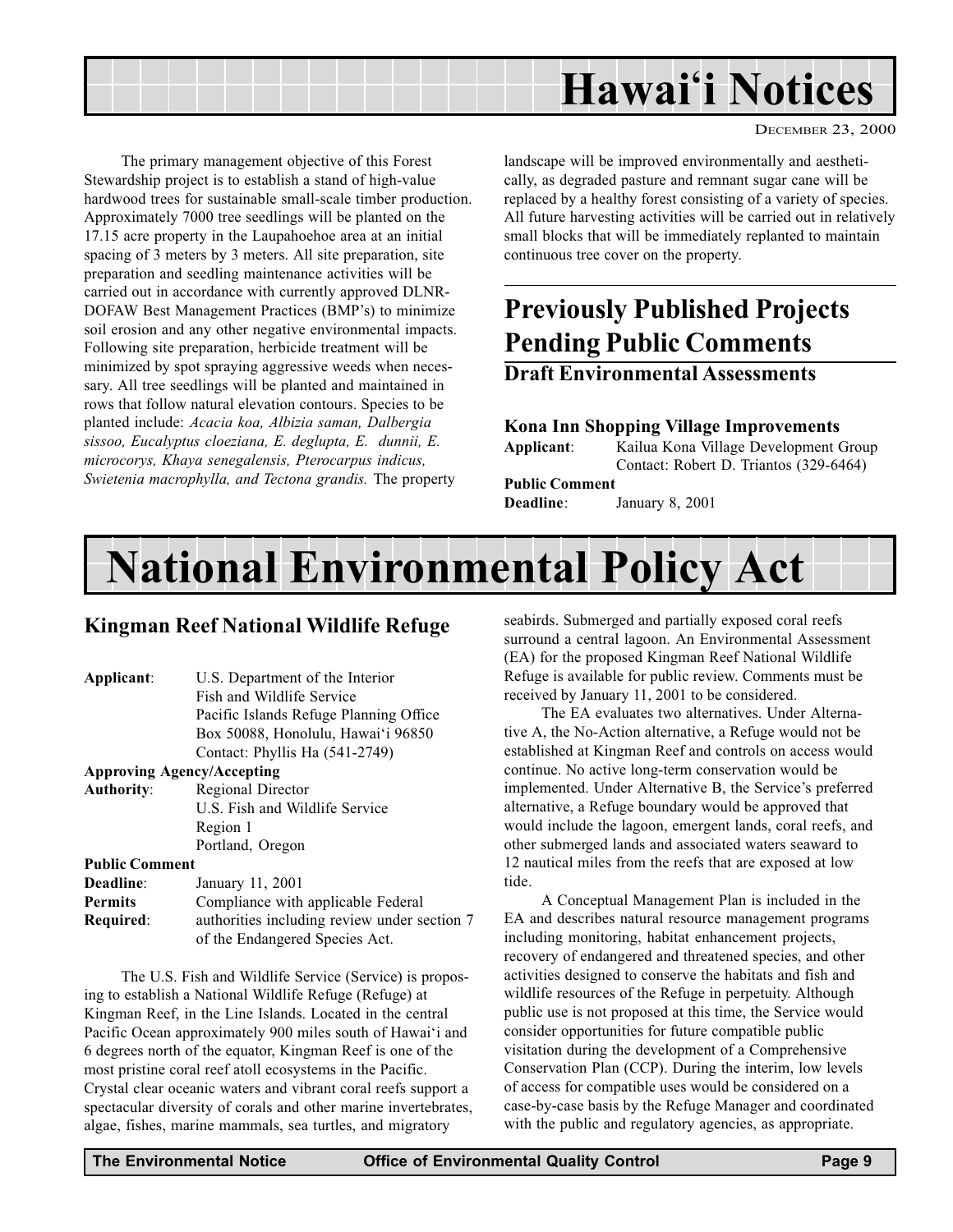<span id="page-8-0"></span>

DECEMBER 23, 2000

The primary management objective of this Forest Stewardship project is to establish a stand of high-value hardwood trees for sustainable small-scale timber production. Approximately 7000 tree seedlings will be planted on the 17.15 acre property in the Laupahoehoe area at an initial spacing of 3 meters by 3 meters. All site preparation, site preparation and seedling maintenance activities will be carried out in accordance with currently approved DLNR-DOFAW Best Management Practices (BMP's) to minimize soil erosion and any other negative environmental impacts. Following site preparation, herbicide treatment will be minimized by spot spraying aggressive weeds when necessary. All tree seedlings will be planted and maintained in rows that follow natural elevation contours. Species to be planted include: Acacia koa, Albizia saman, Dalbergia sissoo, Eucalyptus cloeziana, E. deglupta, E. dunnii, E. microcorys, Khaya senegalensis, Pterocarpus indicus, Swietenia macrophylla, and Tectona grandis. The property

landscape will be improved environmentally and aesthetically, as degraded pasture and remnant sugar cane will be replaced by a healthy forest consisting of a variety of species. All future harvesting activities will be carried out in relatively small blocks that will be immediately replanted to maintain continuous tree cover on the property.

### Previously Published Projects Pending Public Comments

#### Draft Environmental Assessments

#### Kona Inn Shopping Village Improvements

Applicant: Kailua Kona Village Development Group Contact: Robert D. Triantos (329-6464) Public Comment Deadline: January 8, 2001

## National Environmental Policy Act

#### Kingman Reef National Wildlife Refuge

Applicant: U.S. Department of the Interior Fish and Wildlife Service Pacific Islands Refuge Planning Office Box 50088, Honolulu, Hawai'i 96850 Contact: Phyllis Ha (541-2749)

#### Approving Agency/Accepting

Authority: Regional Director U.S. Fish and Wildlife Service Region 1 Portland, Oregon

#### Public Comment

| Deadline: | January 11, 2001                             |
|-----------|----------------------------------------------|
| Permits   | Compliance with applicable Federal           |
| Required: | authorities including review under section 7 |
|           | of the Endangered Species Act.               |

The U.S. Fish and Wildlife Service (Service) is proposing to establish a National Wildlife Refuge (Refuge) at Kingman Reef, in the Line Islands. Located in the central Pacific Ocean approximately 900 miles south of Hawai'i and 6 degrees north of the equator, Kingman Reef is one of the most pristine coral reef atoll ecosystems in the Pacific. Crystal clear oceanic waters and vibrant coral reefs support a spectacular diversity of corals and other marine invertebrates, algae, fishes, marine mammals, sea turtles, and migratory

seabirds. Submerged and partially exposed coral reefs surround a central lagoon. An Environmental Assessment (EA) for the proposed Kingman Reef National Wildlife Refuge is available for public review. Comments must be received by January 11, 2001 to be considered.

The EA evaluates two alternatives. Under Alternative A, the No-Action alternative, a Refuge would not be established at Kingman Reef and controls on access would continue. No active long-term conservation would be implemented. Under Alternative B, the Service's preferred alternative, a Refuge boundary would be approved that would include the lagoon, emergent lands, coral reefs, and other submerged lands and associated waters seaward to 12 nautical miles from the reefs that are exposed at low tide.

A Conceptual Management Plan is included in the EA and describes natural resource management programs including monitoring, habitat enhancement projects, recovery of endangered and threatened species, and other activities designed to conserve the habitats and fish and wildlife resources of the Refuge in perpetuity. Although public use is not proposed at this time, the Service would consider opportunities for future compatible public visitation during the development of a Comprehensive Conservation Plan (CCP). During the interim, low levels of access for compatible uses would be considered on a case-by-case basis by the Refuge Manager and coordinated with the public and regulatory agencies, as appropriate.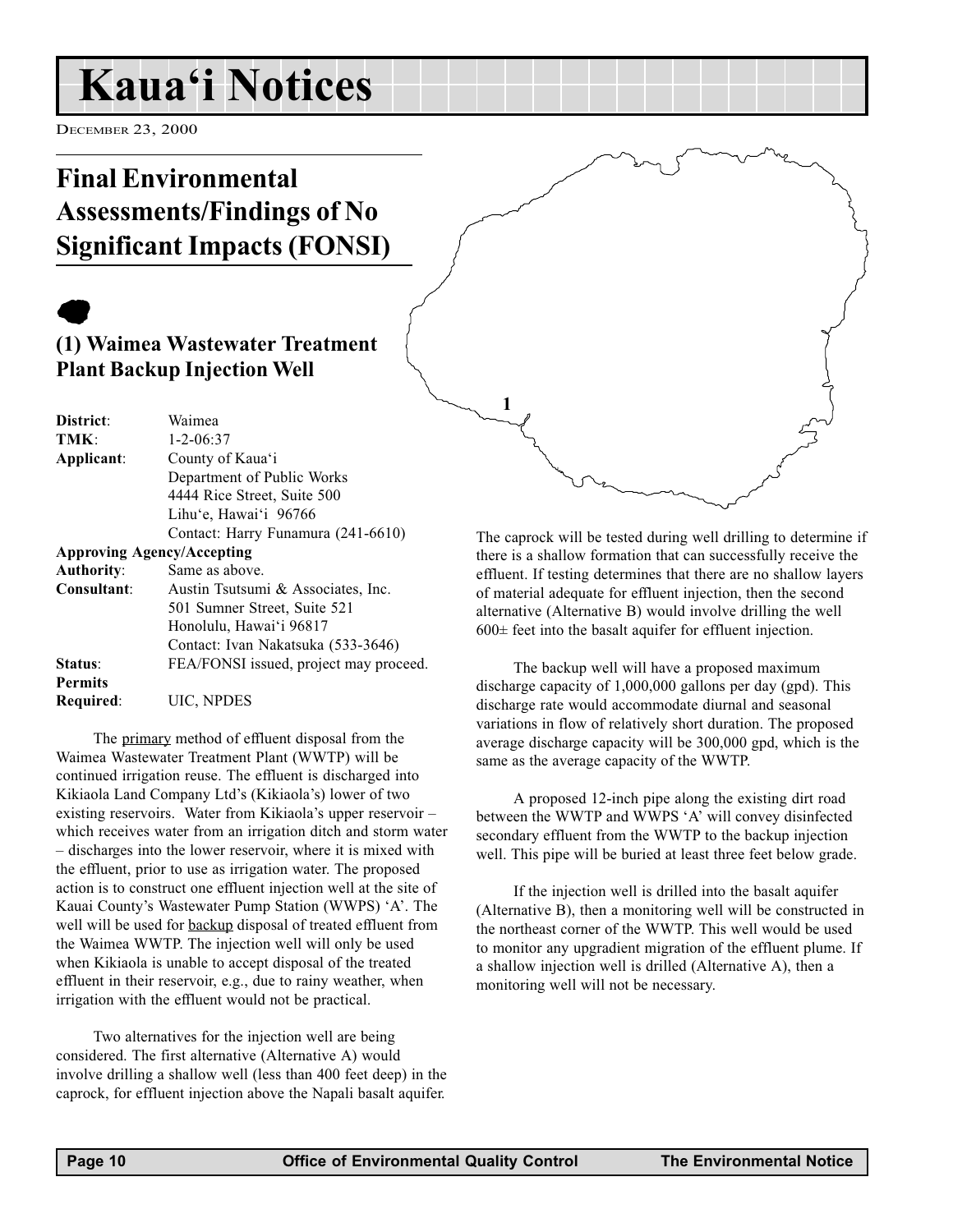### <span id="page-9-0"></span>Kaua'i Notices

DECEMBER 23, 2000

### Final Environmental Assessments/Findings of No Significant Impacts (FONSI)

### $\bullet$

#### (1) Waimea Wastewater Treatment Plant Backup Injection Well

| District:         | Waimea                                 |
|-------------------|----------------------------------------|
| TMK:              | $1 - 2 - 06:37$                        |
| Applicant:        | County of Kaua'i                       |
|                   | Department of Public Works             |
|                   | 4444 Rice Street, Suite 500            |
|                   | Lihu'e, Hawai'i 96766                  |
|                   | Contact: Harry Funamura (241-6610)     |
|                   | <b>Approving Agency/Accepting</b>      |
| <b>Authority:</b> | Same as above.                         |
| Consultant:       | Austin Tsutsumi & Associates, Inc.     |
|                   | 501 Sumner Street, Suite 521           |
|                   | Honolulu, Hawai'i 96817                |
|                   | Contact: Ivan Nakatsuka (533-3646)     |
| Status:           | FEA/FONSI issued, project may proceed. |
| <b>Permits</b>    |                                        |
| Required:         | UIC, NPDES                             |

The primary method of effluent disposal from the Waimea Wastewater Treatment Plant (WWTP) will be continued irrigation reuse. The effluent is discharged into Kikiaola Land Company Ltd's (Kikiaola's) lower of two existing reservoirs. Water from Kikiaola's upper reservoir  $$ which receives water from an irrigation ditch and storm water – discharges into the lower reservoir, where it is mixed with the effluent, prior to use as irrigation water. The proposed action is to construct one effluent injection well at the site of Kauai County's Wastewater Pump Station (WWPS) 'A'. The well will be used for backup disposal of treated effluent from the Waimea WWTP. The injection well will only be used when Kikiaola is unable to accept disposal of the treated effluent in their reservoir, e.g., due to rainy weather, when irrigation with the effluent would not be practical.

Two alternatives for the injection well are being considered. The first alternative (Alternative A) would involve drilling a shallow well (less than 400 feet deep) in the caprock, for effluent injection above the Napali basalt aquifer.

The caprock will be tested during well drilling to determine if there is a shallow formation that can successfully receive the effluent. If testing determines that there are no shallow layers of material adequate for effluent injection, then the second alternative (Alternative B) would involve drilling the well  $600\pm$  feet into the basalt aquifer for effluent injection.

1

The backup well will have a proposed maximum discharge capacity of 1,000,000 gallons per day (gpd). This discharge rate would accommodate diurnal and seasonal variations in flow of relatively short duration. The proposed average discharge capacity will be 300,000 gpd, which is the same as the average capacity of the WWTP.

A proposed 12-inch pipe along the existing dirt road between the WWTP and WWPS 'A' will convey disinfected secondary effluent from the WWTP to the backup injection well. This pipe will be buried at least three feet below grade.

If the injection well is drilled into the basalt aquifer (Alternative B), then a monitoring well will be constructed in the northeast corner of the WWTP. This well would be used to monitor any upgradient migration of the effluent plume. If a shallow injection well is drilled (Alternative A), then a monitoring well will not be necessary.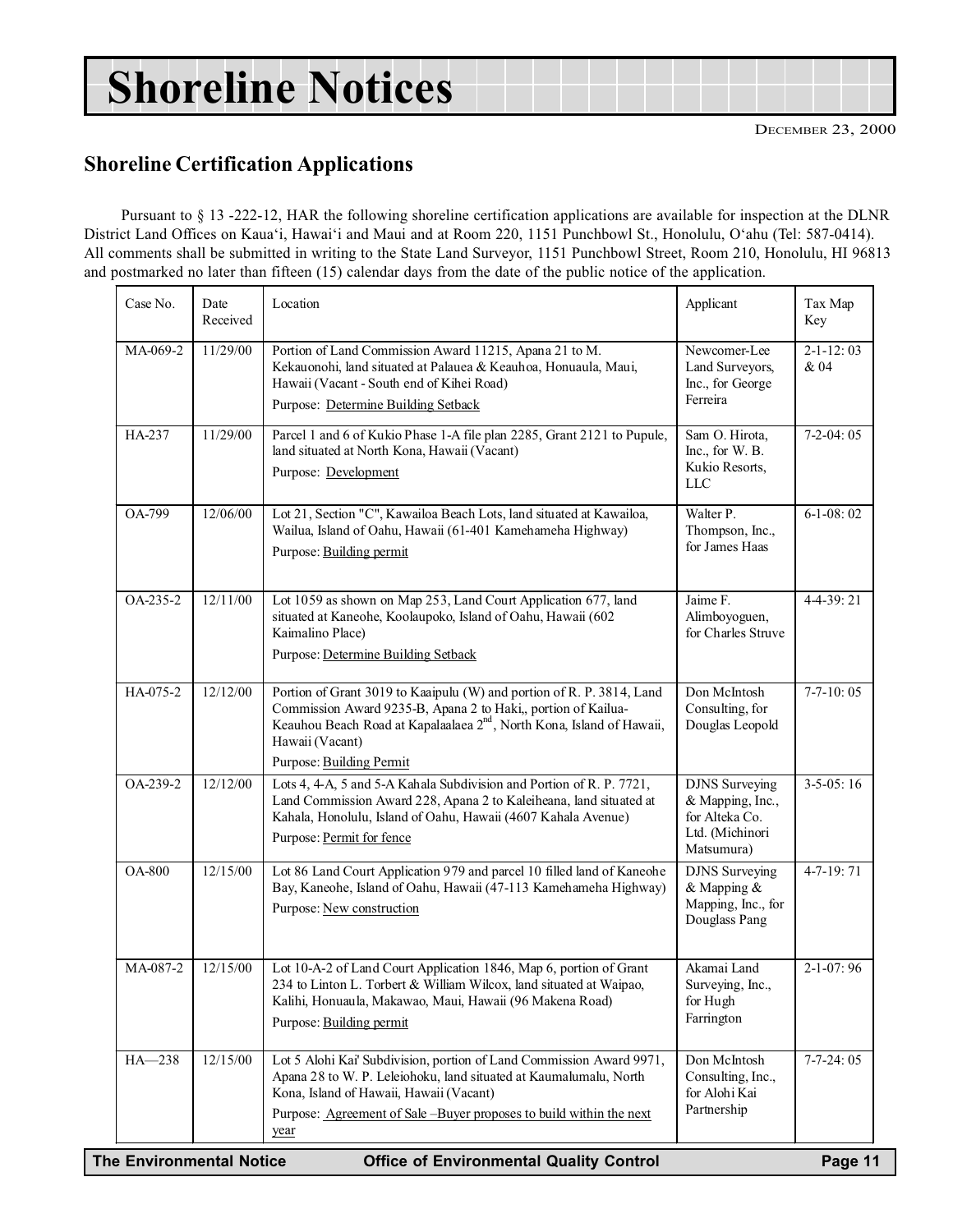## Shoreline Notices

DECEMBER 23, 2000

#### Shoreline Certification Applications

Pursuant to § 13 -222-12, HAR the following shoreline certification applications are available for inspection at the DLNR District Land Offices on Kaua'i, Hawai'i and Maui and at Room 220, 1151 Punchbowl St., Honolulu, O'ahu (Tel: 587-0414). All comments shall be submitted in writing to the State Land Surveyor, 1151 Punchbowl Street, Room 210, Honolulu, HI 96813 and postmarked no later than fifteen (15) calendar days from the date of the public notice of the application.

| Case No.                                      | Date<br>Received | Location                                                                                                                                                                                                                                                                                                              | Applicant                                                                                    | Tax Map<br>Key          |
|-----------------------------------------------|------------------|-----------------------------------------------------------------------------------------------------------------------------------------------------------------------------------------------------------------------------------------------------------------------------------------------------------------------|----------------------------------------------------------------------------------------------|-------------------------|
| MA-069-2                                      | 11/29/00         | Portion of Land Commission Award 11215, Apana 21 to M.<br>Kekauonohi, land situated at Palauea & Keauhoa, Honuaula, Maui,<br>Hawaii (Vacant - South end of Kihei Road)<br>Purpose: Determine Building Setback                                                                                                         | Newcomer-Lee<br>Land Surveyors,<br>Inc., for George<br>Ferreira                              | $2 - 1 - 12:03$<br>& 04 |
| HA-237                                        | 11/29/00         | Parcel 1 and 6 of Kukio Phase 1-A file plan 2285, Grant 2121 to Pupule,<br>land situated at North Kona, Hawaii (Vacant)<br>Purpose: Development                                                                                                                                                                       | Sam O. Hirota,<br>Inc., for W. B.<br>Kukio Resorts,<br><b>LLC</b>                            | $7-2-04:05$             |
| OA-799                                        | 12/06/00         | Lot 21, Section "C", Kawailoa Beach Lots, land situated at Kawailoa,<br>Wailua, Island of Oahu, Hawaii (61-401 Kamehameha Highway)<br>Purpose: Building permit                                                                                                                                                        | Walter P.<br>Thompson, Inc.,<br>for James Haas                                               | $6-1-08:02$             |
| OA-235-2                                      | 12/11/00         | Lot 1059 as shown on Map 253, Land Court Application 677, land<br>situated at Kaneohe, Koolaupoko, Island of Oahu, Hawaii (602<br>Kaimalino Place)<br>Purpose: Determine Building Setback                                                                                                                             | Jaime F.<br>Alimboyoguen,<br>for Charles Struve                                              | 4-4-39:21               |
| HA-075-2                                      | 12/12/00         | Portion of Grant 3019 to Kaaipulu (W) and portion of R. P. 3814, Land<br>Commission Award 9235-B, Apana 2 to Haki,, portion of Kailua-<br>Keauhou Beach Road at Kapalaalaea 2 <sup>nd</sup> , North Kona, Island of Hawaii,<br>Hawaii (Vacant)<br>Purpose: Building Permit                                            | Don McIntosh<br>Consulting, for<br>Douglas Leopold                                           | $7-7-10:05$             |
| OA-239-2                                      | 12/12/00         | Lots 4, 4-A, 5 and 5-A Kahala Subdivision and Portion of R. P. 7721,<br>Land Commission Award 228, Apana 2 to Kaleiheana, land situated at<br>Kahala, Honolulu, Island of Oahu, Hawaii (4607 Kahala Avenue)<br>Purpose: Permit for fence                                                                              | <b>DJNS</b> Surveying<br>& Mapping, Inc.,<br>for Alteka Co.<br>Ltd. (Michinori<br>Matsumura) | $3-5-05:16$             |
| <b>OA-800</b>                                 | 12/15/00         | Lot 86 Land Court Application 979 and parcel 10 filled land of Kaneohe<br>Bay, Kaneohe, Island of Oahu, Hawaii (47-113 Kamehameha Highway)<br>Purpose: New construction                                                                                                                                               | <b>DJNS</b> Surveying<br>& Mapping &<br>Mapping, Inc., for<br>Douglass Pang                  | 4-7-19:71               |
| MA-087-2                                      | 12/15/00         | Lot 10-A-2 of Land Court Application 1846, Map 6, portion of Grant<br>234 to Linton L. Torbert & William Wilcox, land situated at Waipao,<br>Kalihi, Honuaula, Makawao, Maui, Hawaii (96 Makena Road)<br>Purpose: Building permit                                                                                     | Akamai Land<br>Surveying, Inc.,<br>for Hugh<br>Farrington                                    | $2-1-07:96$             |
| $HA - 238$<br><b>The Environmental Notice</b> | 12/15/00         | Lot 5 Alohi Kai' Subdivision, portion of Land Commission Award 9971,<br>Apana 28 to W. P. Leleiohoku, land situated at Kaumalumalu, North<br>Kona, Island of Hawaii, Hawaii (Vacant)<br>Purpose: Agreement of Sale -Buyer proposes to build within the next<br>year<br><b>Office of Environmental Quality Control</b> | Don McIntosh<br>Consulting, Inc.,<br>for Alohi Kai<br>Partnership                            | $7-7-24:05$<br>Page 11  |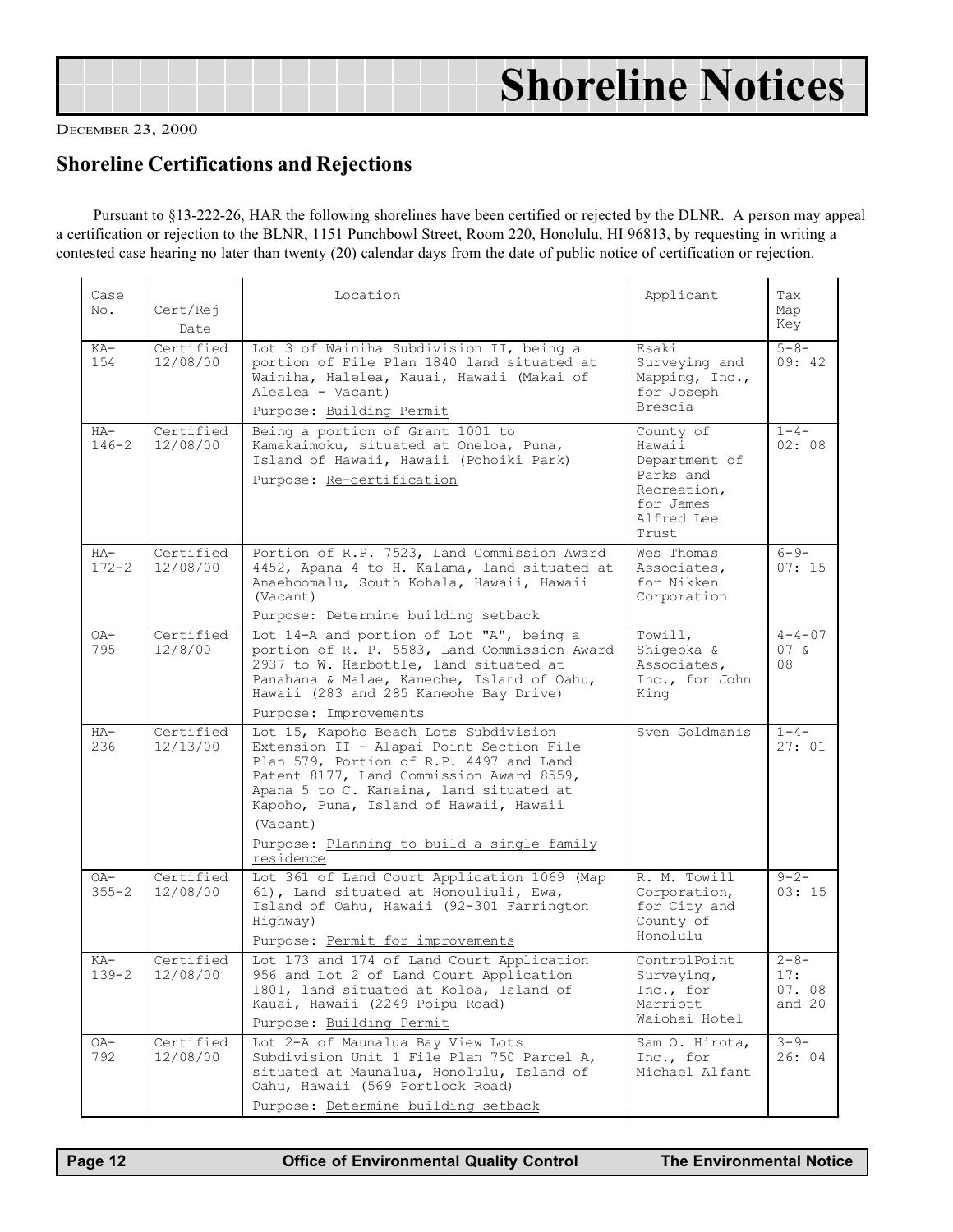## <span id="page-11-0"></span>Shoreline Notices

DECEMBER 23, 2000

#### Shoreline Certifications and Rejections

Pursuant to §13-222-26, HAR the following shorelines have been certified or rejected by the DLNR. A person may appeal a certification or rejection to the BLNR, 1151 Punchbowl Street, Room 220, Honolulu, HI 96813, by requesting in writing a contested case hearing no later than twenty (20) calendar days from the date of public notice of certification or rejection.

| Case               |                       | Location                                                                                                                                                                                                                                                                                                                             | Applicant                                                                                            | Tax                                 |
|--------------------|-----------------------|--------------------------------------------------------------------------------------------------------------------------------------------------------------------------------------------------------------------------------------------------------------------------------------------------------------------------------------|------------------------------------------------------------------------------------------------------|-------------------------------------|
| No.                | Cert/Rej<br>Date      |                                                                                                                                                                                                                                                                                                                                      |                                                                                                      | Map<br>Key                          |
| KA-<br>154         | Certified<br>12/08/00 | Lot 3 of Wainiha Subdivision II, being a<br>portion of File Plan 1840 land situated at<br>Wainiha, Halelea, Kauai, Hawaii (Makai of<br>Alealea - Vacant)<br>Purpose: Building Permit                                                                                                                                                 | Esaki<br>Surveying and<br>Mapping, $Inc.,$<br>for Joseph<br>Brescia                                  | $5 - 8 -$<br>09:42                  |
| $HA-$<br>$146 - 2$ | Certified<br>12/08/00 | Being a portion of Grant 1001 to<br>Kamakaimoku, situated at Oneloa, Puna,<br>Island of Hawaii, Hawaii (Pohoiki Park)<br>Purpose: Re-certification                                                                                                                                                                                   | County of<br>Hawaii<br>Department of<br>Parks and<br>Recreation,<br>for James<br>Alfred Lee<br>Trust | $1 - 4 -$<br>02:08                  |
| $HA-$<br>$172 - 2$ | Certified<br>12/08/00 | Portion of R.P. 7523, Land Commission Award<br>4452, Apana 4 to H. Kalama, land situated at<br>Anaehoomalu, South Kohala, Hawaii, Hawaii<br>(Vacant)<br>Purpose: Determine building setback                                                                                                                                          | Wes Thomas<br>Associates,<br>for Nikken<br>Corporation                                               | $6 - 9 -$<br>07:15                  |
| OA-<br>795         | Certified<br>12/8/00  | Lot 14-A and portion of Lot "A", being a<br>portion of R. P. 5583, Land Commission Award<br>2937 to W. Harbottle, land situated at<br>Panahana & Malae, Kaneohe, Island of Oahu,<br>Hawaii (283 and 285 Kaneohe Bay Drive)<br>Purpose: Improvements                                                                                  | Towill,<br>Shigeoka &<br>Associates,<br>Inc., for John<br>King                                       | $4 - 4 - 07$<br>$07\sigma$<br>08    |
| $HA-$<br>236       | Certified<br>12/13/00 | Lot 15, Kapoho Beach Lots Subdivision<br>Extension II - Alapai Point Section File<br>Plan 579, Portion of R.P. 4497 and Land<br>Patent 8177, Land Commission Award 8559,<br>Apana 5 to C. Kanaina, land situated at<br>Kapoho, Puna, Island of Hawaii, Hawaii<br>(Vacant)<br>Purpose: Planning to build a single family<br>residence | Sven Goldmanis                                                                                       | $1 - 4 -$<br>27:01                  |
| OA-<br>$355 - 2$   | Certified<br>12/08/00 | Lot 361 of Land Court Application 1069 (Map<br>61), Land situated at Honouliuli, Ewa,<br>Island of Oahu, Hawaii (92-301 Farrington<br>Highway)<br>Purpose: Permit for improvements                                                                                                                                                   | R. M. Towill<br>Corporation,<br>for City and<br>County of<br>Honolulu                                | $9 - 2 -$<br>03:15                  |
| $KA-$<br>$139 - 2$ | Certified<br>12/08/00 | Lot 173 and 174 of Land Court Application<br>956 and Lot 2 of Land Court Application<br>1801, land situated at Koloa, Island of<br>Kauai, Hawaii (2249 Poipu Road)<br>Purpose: Building Permit                                                                                                                                       | ControlPoint<br>Surveying,<br>Inc., for<br>Marriott<br>Waiohai Hotel                                 | $2 - 8 -$<br>17:<br>07.08<br>and 20 |
| OA-<br>792         | Certified<br>12/08/00 | Lot 2-A of Maunalua Bay View Lots<br>Subdivision Unit 1 File Plan 750 Parcel A,<br>situated at Maunalua, Honolulu, Island of<br>Oahu, Hawaii (569 Portlock Road)<br>Purpose: Determine building setback                                                                                                                              | Sam O. Hirota,<br>Inc., for<br>Michael Alfant                                                        | $3 - 9 -$<br>26:04                  |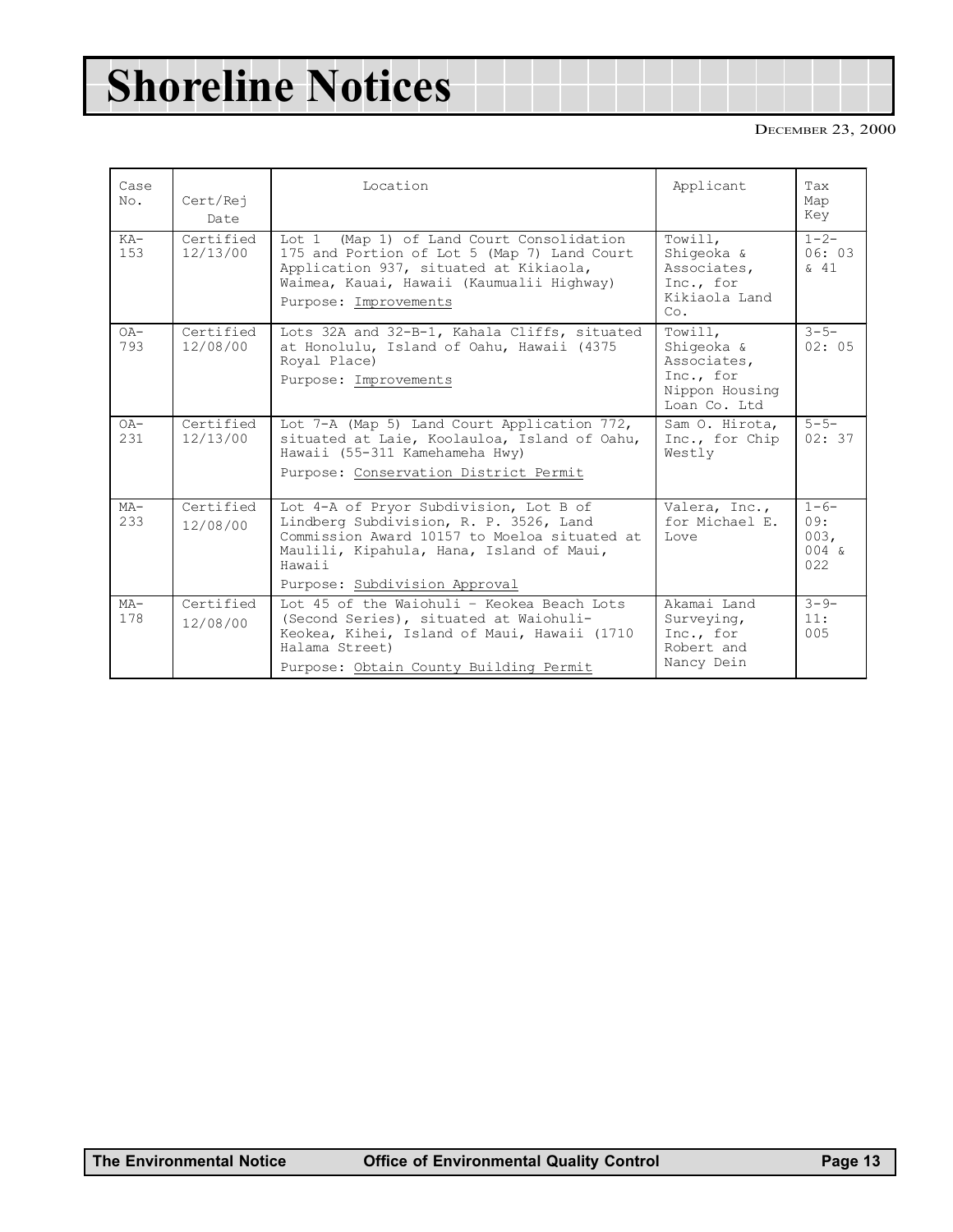## Shoreline Notices

#### DECEMBER 23, 2000

| Case<br>No.   | Cert/Rej<br>Date      | Location                                                                                                                                                                                                                | Applicant                                                                           | Tax<br>Map<br>Key                           |
|---------------|-----------------------|-------------------------------------------------------------------------------------------------------------------------------------------------------------------------------------------------------------------------|-------------------------------------------------------------------------------------|---------------------------------------------|
| $KA-$<br>153  | Certified<br>12/13/00 | (Map 1) of Land Court Consolidation<br>Tot.1<br>175 and Portion of Lot 5 (Map 7) Land Court<br>Application 937, situated at Kikiaola,<br>Waimea, Kauai, Hawaii (Kaumualii Highway)<br>Purpose: Improvements             | Towill,<br>Shiqeoka &<br>Associates,<br>Inc., for<br>Kikiaola Land<br>Co.           | $1 - 2 -$<br>06:03<br>$\delta$ 41           |
| $OA -$<br>793 | Certified<br>12/08/00 | Lots 32A and 32-B-1, Kahala Cliffs, situated<br>at Honolulu, Island of Oahu, Hawaii (4375<br>Royal Place)<br>Purpose: Improvements                                                                                      | Towill,<br>Shiqeoka &<br>Associates,<br>Inc., for<br>Nippon Housing<br>Loan Co. Ltd | $3 - 5 -$<br>02:05                          |
| $OA-$<br>231  | Certified<br>12/13/00 | Lot 7-A (Map 5) Land Court Application 772,<br>situated at Laie, Koolauloa, Island of Oahu,<br>Hawaii (55-311 Kamehameha Hwy)<br>Purpose: Conservation District Permit                                                  | Sam O. Hirota,<br>Inc., for Chip<br>Westly                                          | $5 - 5 -$<br>02:37                          |
| $MA-$<br>233  | Certified<br>12/08/00 | Lot 4-A of Pryor Subdivision, Lot B of<br>Lindberg Subdivision, R. P. 3526, Land<br>Commission Award 10157 to Moeloa situated at<br>Maulili, Kipahula, Hana, Island of Maui,<br>Hawaii<br>Purpose: Subdivision Approval | Valera, Inc.,<br>for Michael E.<br><b>Love</b>                                      | $1 - 6 -$<br>09:<br>003,<br>$004 \&$<br>022 |
| $MA-$<br>178  | Certified<br>12/08/00 | Lot 45 of the Waiohuli - Keokea Beach Lots<br>(Second Series), situated at Waiohuli-<br>Keokea, Kihei, Island of Maui, Hawaii (1710<br>Halama Street)<br>Purpose: Obtain County Building Permit                         | Akamai Land<br>Surveying,<br>Inc., for<br>Robert and<br>Nancy Dein                  | $3 - 9 -$<br>11:<br>005                     |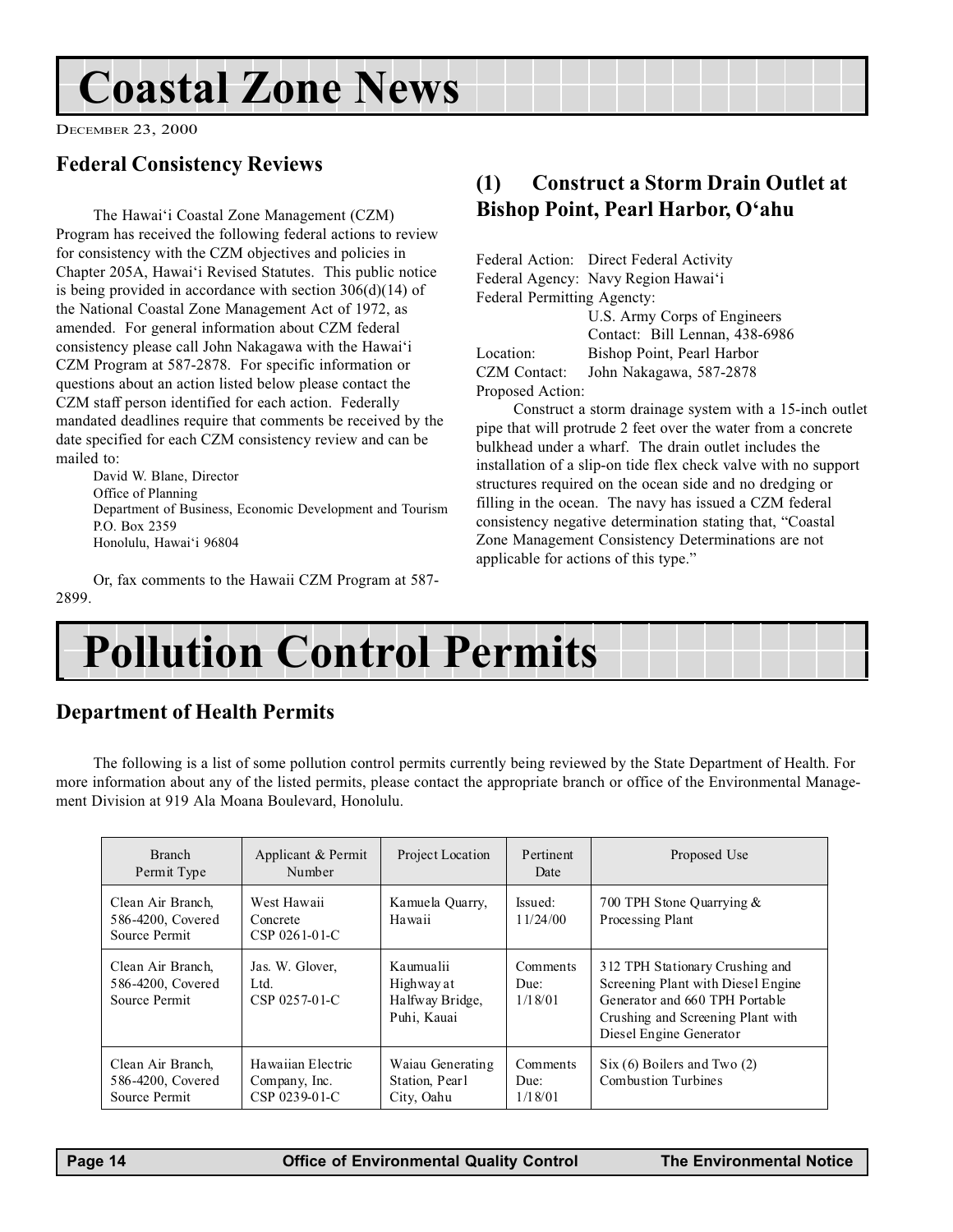## <span id="page-13-0"></span>Coastal Zone News

DECEMBER 23, 2000

#### Federal Consistency Reviews

The Hawai'i Coastal Zone Management (CZM) Program has received the following federal actions to review for consistency with the CZM objectives and policies in Chapter 205A, Hawai'i Revised Statutes. This public notice is being provided in accordance with section 306(d)(14) of the National Coastal Zone Management Act of 1972, as amended. For general information about CZM federal consistency please call John Nakagawa with the Hawai'i CZM Program at 587-2878. For specific information or questions about an action listed below please contact the CZM staff person identified for each action. Federally mandated deadlines require that comments be received by the date specified for each CZM consistency review and can be mailed to:

David W. Blane, Director Office of Planning Department of Business, Economic Development and Tourism P.O. Box 2359 Honolulu, Hawai'i 96804

Or, fax comments to the Hawaii CZM Program at 587- 2899.

#### (1) Construct a Storm Drain Outlet at Bishop Point, Pearl Harbor, O'ahu

|                             | Federal Action: Direct Federal Activity |  |  |
|-----------------------------|-----------------------------------------|--|--|
|                             | Federal Agency: Navy Region Hawai'i     |  |  |
| Federal Permitting Agencty: |                                         |  |  |
|                             | U.S. Army Corps of Engineers            |  |  |
|                             | Contact: Bill Lennan, 438-6986          |  |  |
| Location:                   | Bishop Point, Pearl Harbor              |  |  |
| <b>CZM</b> Contact:         | John Nakagawa, 587-2878                 |  |  |
| Proposed Action:            |                                         |  |  |

Construct a storm drainage system with a 15-inch outlet pipe that will protrude 2 feet over the water from a concrete bulkhead under a wharf. The drain outlet includes the installation of a slip-on tide flex check valve with no support structures required on the ocean side and no dredging or filling in the ocean. The navy has issued a CZM federal consistency negative determination stating that, "Coastal Zone Management Consistency Determinations are not applicable for actions of this type.

## Pollution Control Permits

#### Department of Health Permits

The following is a list of some pollution control permits currently being reviewed by the State Department of Health. For more information about any of the listed permits, please contact the appropriate branch or office of the Environmental Management Division at 919 Ala Moana Boulevard, Honolulu.

| <b>Branch</b><br>Permit Type                            | Applicant & Permit<br>Number                        | Project Location                                          | Pertinent<br>Date           | Proposed Use                                                                                                                                                            |
|---------------------------------------------------------|-----------------------------------------------------|-----------------------------------------------------------|-----------------------------|-------------------------------------------------------------------------------------------------------------------------------------------------------------------------|
| Clean Air Branch,<br>586-4200, Covered<br>Source Permit | West Hawaii<br>Concrete<br>CSP 0261-01-C            | Kamuela Quarry,<br>Hawaii                                 | Issued:<br>11/24/00         | 700 TPH Stone Quarrying &<br>Processing Plant                                                                                                                           |
| Clean Air Branch,<br>586-4200, Covered<br>Source Permit | Jas. W. Glover,<br>Ltd.<br>CSP 0257-01-C            | Kaumualii<br>Highway at<br>Halfway Bridge,<br>Puhi, Kauai | Comments<br>Due:<br>1/18/01 | 312 TPH Stationary Crushing and<br>Screening Plant with Diesel Engine<br>Generator and 660 TPH Portable<br>Crushing and Screening Plant with<br>Diesel Engine Generator |
| Clean Air Branch,<br>586-4200, Covered<br>Source Permit | Hawaiian Electric<br>Company, Inc.<br>CSP 0239-01-C | Waiau Generating<br>Station, Pearl<br>City, Oahu          | Comments<br>Due:<br>1/18/01 | $Six (6)$ Boilers and Two $(2)$<br>Combustion Turbines                                                                                                                  |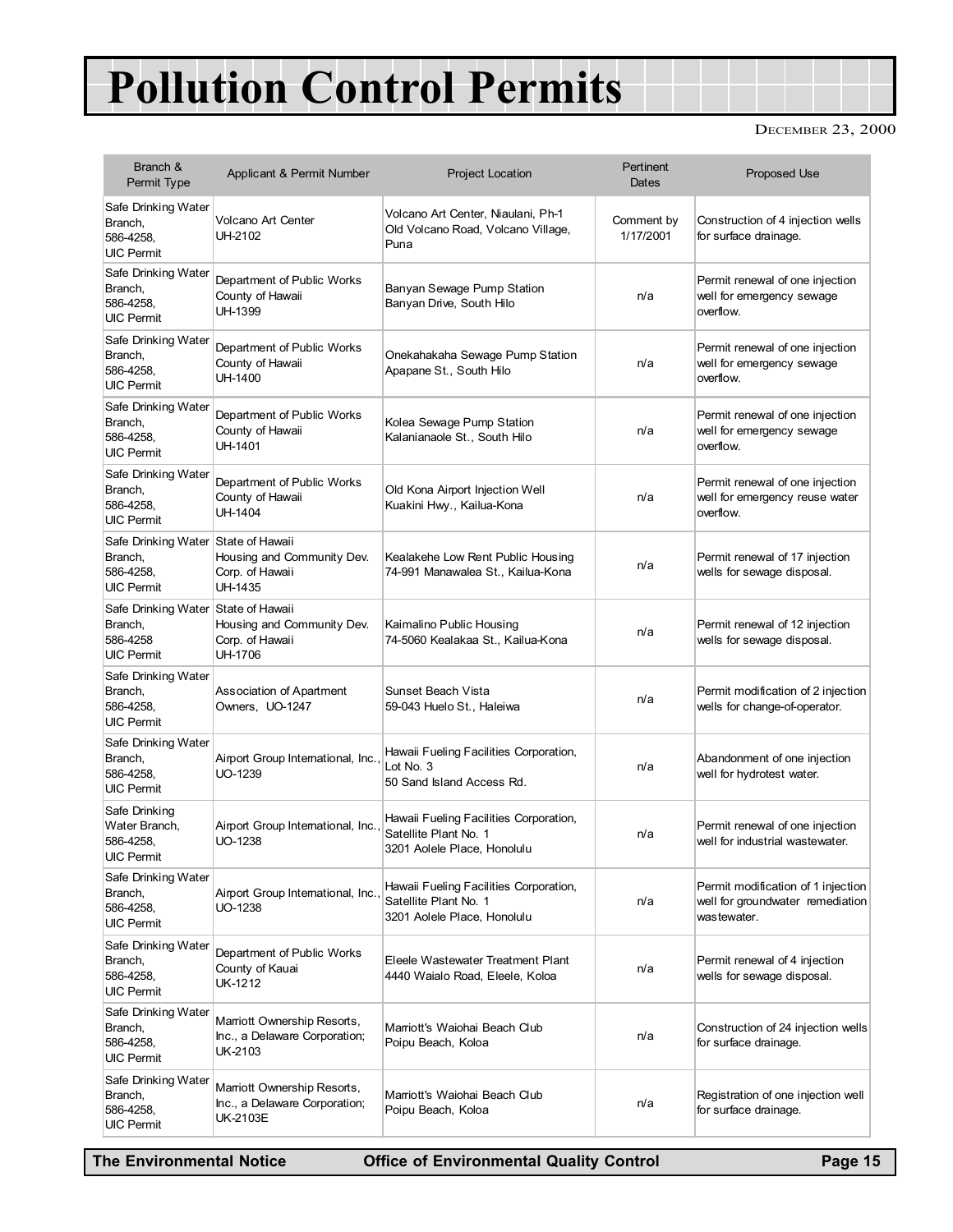## Pollution Control Permits

#### DECEMBER 23, 2000

| Branch &<br>Permit Type                                                          | Applicant & Permit Number                                                | <b>Project Location</b>                                                                        | Pertinent<br>Dates      | <b>Proposed Use</b>                                                                   |
|----------------------------------------------------------------------------------|--------------------------------------------------------------------------|------------------------------------------------------------------------------------------------|-------------------------|---------------------------------------------------------------------------------------|
| Safe Drinking Water<br>Branch,<br>586-4258,<br><b>UIC Permit</b>                 | Volcano Art Center<br>UH-2102                                            | Volcano Art Center, Niaulani, Ph-1<br>Old Volcano Road, Volcano Village,<br>Puna               | Comment by<br>1/17/2001 | Construction of 4 injection wells<br>for surface drainage.                            |
| Safe Drinking Water<br>Branch,<br>586-4258,<br>UIC Permit                        | Department of Public Works<br>County of Hawaii<br>UH-1399                | Banyan Sewage Pump Station<br>Banyan Drive, South Hilo                                         | n/a                     | Permit renewal of one injection<br>well for emergency sewage<br>overflow.             |
| Safe Drinking Water<br>Branch,<br>586-4258,<br><b>UIC Permit</b>                 | Department of Public Works<br>County of Hawaii<br>UH-1400                | Onekahakaha Sewage Pump Station<br>Apapane St., South Hilo                                     | n/a                     | Permit renewal of one injection<br>well for emergency sewage<br>overflow.             |
| Safe Drinking Water<br>Branch,<br>586-4258,<br><b>UIC Permit</b>                 | Department of Public Works<br>County of Hawaii<br>UH-1401                | Kolea Sewage Pump Station<br>Kalanianaole St., South Hilo                                      | n/a                     | Permit renewal of one injection<br>well for emergency sewage<br>overflow.             |
| Safe Drinking Water<br>Branch,<br>586-4258,<br><b>UIC Permit</b>                 | Department of Public Works<br>County of Hawaii<br>UH-1404                | Old Kona Airport Injection Well<br>Kuakini Hwy., Kailua-Kona                                   | n/a                     | Permit renewal of one injection<br>well for emergency reuse water<br>overflow.        |
| Safe Drinking Water State of Hawaii<br>Branch,<br>586-4258,<br><b>UIC Permit</b> | Housing and Community Dev.<br>Corp. of Hawaii<br>UH-1435                 | Kealakehe Low Rent Public Housing<br>74-991 Manawalea St., Kailua-Kona                         | n/a                     | Permit renewal of 17 injection<br>wells for sewage disposal.                          |
| Safe Drinking Water State of Hawaii<br>Branch,<br>586-4258<br><b>UIC Permit</b>  | Housing and Community Dev.<br>Corp. of Hawaii<br><b>UH-1706</b>          | Kaimalino Public Housing<br>74-5060 Kealakaa St., Kailua-Kona                                  | n/a                     | Permit renewal of 12 injection<br>wells for sewage disposal.                          |
| Safe Drinking Water<br>Branch,<br>586-4258,<br><b>UIC Permit</b>                 | Association of Apartment<br>Owners, UO-1247                              | Sunset Beach Vista<br>59-043 Huelo St., Haleiwa                                                | n/a                     | Permit modification of 2 injection<br>wells for change-of-operator.                   |
| Safe Drinking Water<br>Branch,<br>586-4258,<br><b>UIC Permit</b>                 | Airport Group International, Inc.<br>UO-1239                             | Hawaii Fueling Facilities Corporation,<br>Lot No. 3<br>50 Sand Island Access Rd.               | n/a                     | Abandonment of one injection<br>well for hydrotest water.                             |
| Safe Drinking<br>Water Branch,<br>586-4258,<br><b>UIC Permit</b>                 | Airport Group International, Inc.<br>UO-1238                             | Hawaii Fueling Facilities Corporation,<br>Satellite Plant No. 1<br>3201 Aolele Place, Honolulu | n/a                     | Permit renewal of one injection<br>well for industrial wastewater.                    |
| Safe Drinking Water<br>Branch,<br>586-4258,<br><b>UIC Permit</b>                 | Airport Group International, Inc.<br>UO-1238                             | Hawaii Fueling Facilities Corporation,<br>Satellite Plant No. 1<br>3201 Aolele Place, Honolulu | n/a                     | Permit modification of 1 injection<br>well for groundwater remediation<br>wastewater. |
| Safe Drinking Water<br>Branch,<br>586-4258,<br><b>UIC Permit</b>                 | Department of Public Works<br>County of Kauai<br>UK-1212                 | Eleele Wastewater Treatment Plant<br>4440 Waialo Road, Eleele, Koloa                           | n/a                     | Permit renewal of 4 injection<br>wells for sewage disposal.                           |
| Safe Drinking Water<br>Branch,<br>586-4258,<br>UIC Permit                        | Marriott Ownership Resorts,<br>Inc., a Delaware Corporation;<br>UK-2103  | Marriott's Waiohai Beach Club<br>Poipu Beach, Koloa                                            | n/a                     | Construction of 24 injection wells<br>for surface drainage.                           |
| Safe Drinking Water<br>Branch,<br>586-4258,<br><b>UIC Permit</b>                 | Marriott Ownership Resorts,<br>Inc., a Delaware Corporation;<br>UK-2103E | Marriott's Waiohai Beach Club<br>Poipu Beach, Koloa                                            | n/a                     | Registration of one injection well<br>for surface drainage.                           |

The Environmental Notice **Office of Environmental Quality Control** Page 15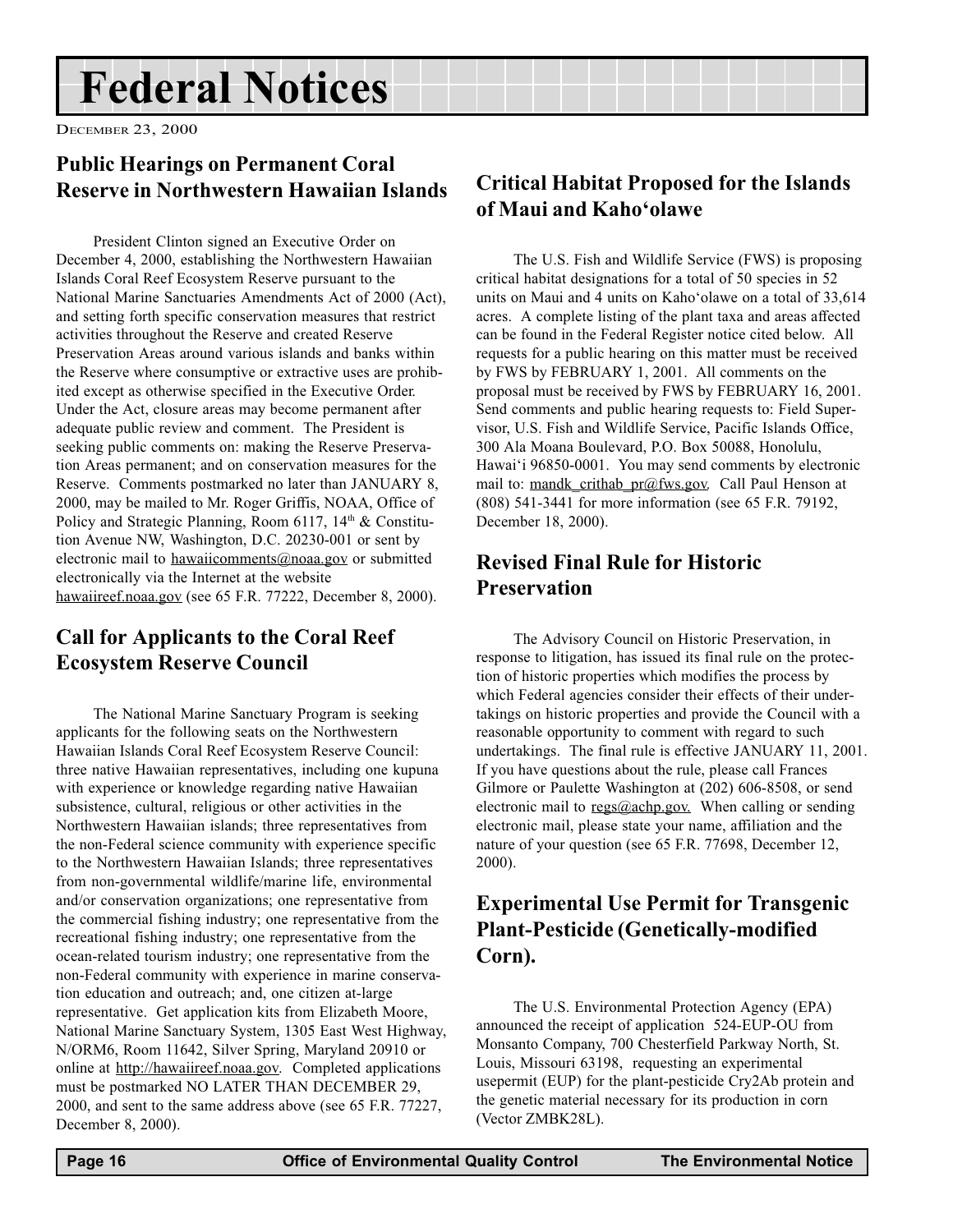### <span id="page-15-0"></span>Federal Notices

DECEMBER 23, 2000

#### Public Hearings on Permanent Coral Reserve in Northwestern Hawaiian Islands

President Clinton signed an Executive Order on December 4, 2000, establishing the Northwestern Hawaiian Islands Coral Reef Ecosystem Reserve pursuant to the National Marine Sanctuaries Amendments Act of 2000 (Act), and setting forth specific conservation measures that restrict activities throughout the Reserve and created Reserve Preservation Areas around various islands and banks within the Reserve where consumptive or extractive uses are prohibited except as otherwise specified in the Executive Order. Under the Act, closure areas may become permanent after adequate public review and comment. The President is seeking public comments on: making the Reserve Preservation Areas permanent; and on conservation measures for the Reserve. Comments postmarked no later than JANUARY 8, 2000, may be mailed to Mr. Roger Griffis, NOAA, Office of Policy and Strategic Planning, Room 6117,  $14<sup>th</sup>$  & Constitution Avenue NW, Washington, D.C. 20230-001 or sent by electronic mail to hawaiicomments@noaa.gov or submitted electronically via the Internet at the website hawaiireef.noaa.gov (see 65 F.R. 77222, December 8, 2000).

#### Call for Applicants to the Coral Reef Ecosystem Reserve Council

The National Marine Sanctuary Program is seeking applicants for the following seats on the Northwestern Hawaiian Islands Coral Reef Ecosystem Reserve Council: three native Hawaiian representatives, including one kupuna with experience or knowledge regarding native Hawaiian subsistence, cultural, religious or other activities in the Northwestern Hawaiian islands; three representatives from the non-Federal science community with experience specific to the Northwestern Hawaiian Islands; three representatives from non-governmental wildlife/marine life, environmental and/or conservation organizations; one representative from the commercial fishing industry; one representative from the recreational fishing industry; one representative from the ocean-related tourism industry; one representative from the non-Federal community with experience in marine conservation education and outreach; and, one citizen at-large representative. Get application kits from Elizabeth Moore, National Marine Sanctuary System, 1305 East West Highway, N/ORM6, Room 11642, Silver Spring, Maryland 20910 or online at http://hawaiireef.noaa.gov. Completed applications must be postmarked NO LATER THAN DECEMBER 29, 2000, and sent to the same address above (see 65 F.R. 77227, December 8, 2000).

#### Critical Habitat Proposed for the Islands of Maui and Kaho'olawe

The U.S. Fish and Wildlife Service (FWS) is proposing critical habitat designations for a total of 50 species in 52 units on Maui and 4 units on Kaho'olawe on a total of 33,614 acres. A complete listing of the plant taxa and areas affected can be found in the Federal Register notice cited below. All requests for a public hearing on this matter must be received by FWS by FEBRUARY 1, 2001. All comments on the proposal must be received by FWS by FEBRUARY 16, 2001. Send comments and public hearing requests to: Field Supervisor, U.S. Fish and Wildlife Service, Pacific Islands Office, 300 Ala Moana Boulevard, P.O. Box 50088, Honolulu, Hawai'i 96850-0001. You may send comments by electronic mail to: mandk\_crithab\_pr@fws.gov. Call Paul Henson at (808) 541-3441 for more information (see 65 F.R. 79192, December 18, 2000).

#### Revised Final Rule for Historic **Preservation**

The Advisory Council on Historic Preservation, in response to litigation, has issued its final rule on the protection of historic properties which modifies the process by which Federal agencies consider their effects of their undertakings on historic properties and provide the Council with a reasonable opportunity to comment with regard to such undertakings. The final rule is effective JANUARY 11, 2001. If you have questions about the rule, please call Frances Gilmore or Paulette Washington at (202) 606-8508, or send electronic mail to  $\text{reg@achp.gov}$ . When calling or sending electronic mail, please state your name, affiliation and the nature of your question (see 65 F.R. 77698, December 12, 2000).

#### Experimental Use Permit for Transgenic Plant-Pesticide (Genetically-modified Corn).

The U.S. Environmental Protection Agency (EPA) announced the receipt of application 524-EUP-OU from Monsanto Company, 700 Chesterfield Parkway North, St. Louis, Missouri 63198, requesting an experimental usepermit (EUP) for the plant-pesticide Cry2Ab protein and the genetic material necessary for its production in corn (Vector ZMBK28L).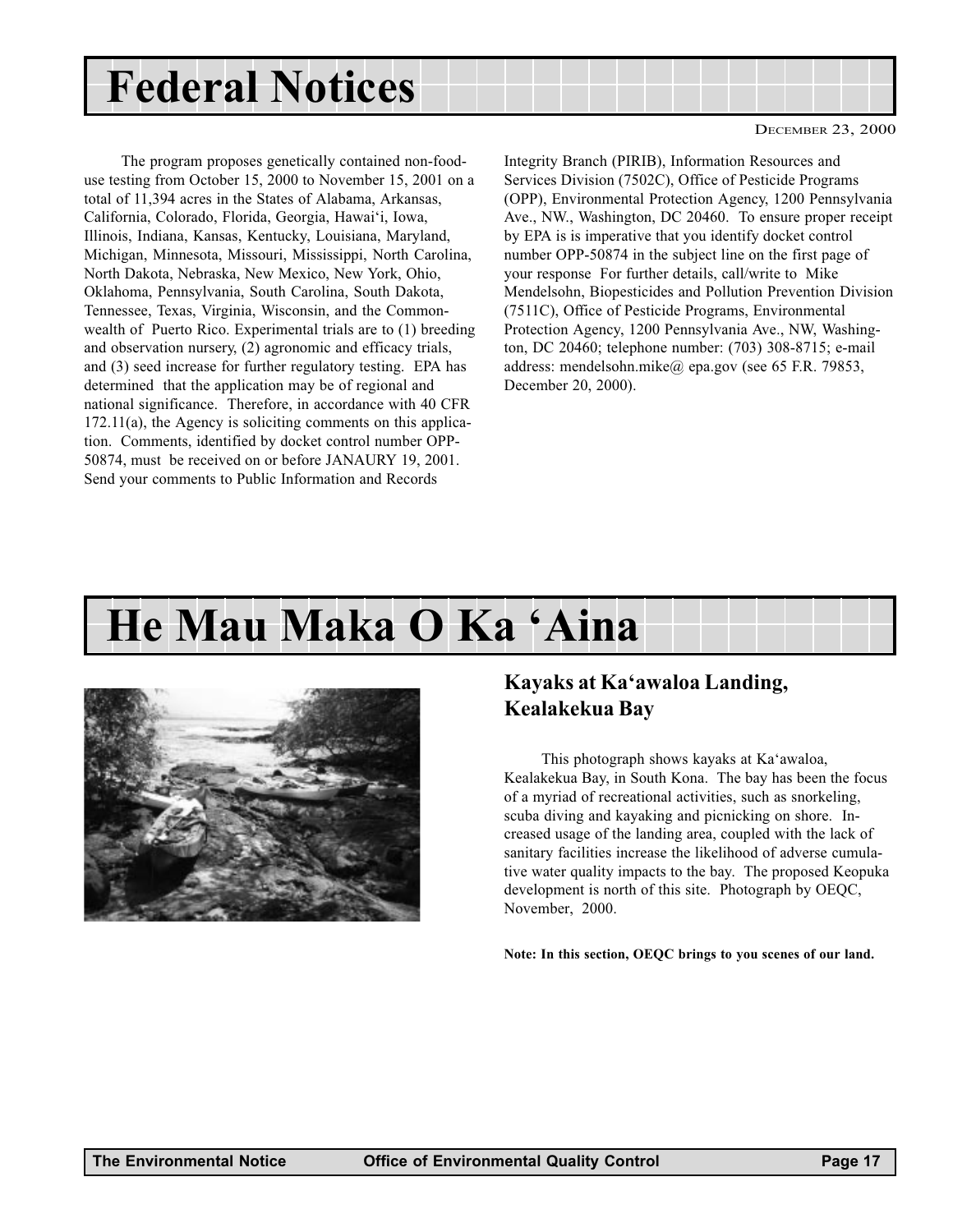## <span id="page-16-0"></span>Federal Notices

The program proposes genetically contained non-fooduse testing from October 15, 2000 to November 15, 2001 on a total of 11,394 acres in the States of Alabama, Arkansas, California, Colorado, Florida, Georgia, Hawai'i, Iowa, Illinois, Indiana, Kansas, Kentucky, Louisiana, Maryland, Michigan, Minnesota, Missouri, Mississippi, North Carolina, North Dakota, Nebraska, New Mexico, New York, Ohio, Oklahoma, Pennsylvania, South Carolina, South Dakota, Tennessee, Texas, Virginia, Wisconsin, and the Commonwealth of Puerto Rico. Experimental trials are to (1) breeding and observation nursery, (2) agronomic and efficacy trials, and (3) seed increase for further regulatory testing. EPA has determined that the application may be of regional and national significance. Therefore, in accordance with 40 CFR 172.11(a), the Agency is soliciting comments on this application. Comments, identified by docket control number OPP-50874, must be received on or before JANAURY 19, 2001. Send your comments to Public Information and Records

Integrity Branch (PIRIB), Information Resources and Services Division (7502C), Office of Pesticide Programs (OPP), Environmental Protection Agency, 1200 Pennsylvania Ave., NW., Washington, DC 20460. To ensure proper receipt by EPA is is imperative that you identify docket control number OPP-50874 in the subject line on the first page of your response For further details, call/write to Mike Mendelsohn, Biopesticides and Pollution Prevention Division (7511C), Office of Pesticide Programs, Environmental Protection Agency, 1200 Pennsylvania Ave., NW, Washington, DC 20460; telephone number: (703) 308-8715; e-mail address: mendelsohn.mike@ epa.gov (see 65 F.R. 79853, December 20, 2000).

### He Mau Maka O Ka 'Aina



#### Kayaks at Ka'awaloa Landing, Kealakekua Bay

This photograph shows kayaks at Ka'awaloa, Kealakekua Bay, in South Kona. The bay has been the focus of a myriad of recreational activities, such as snorkeling, scuba diving and kayaking and picnicking on shore. Increased usage of the landing area, coupled with the lack of sanitary facilities increase the likelihood of adverse cumulative water quality impacts to the bay. The proposed Keopuka development is north of this site. Photograph by OEQC, November, 2000.

Note: In this section, OEQC brings to you scenes of our land.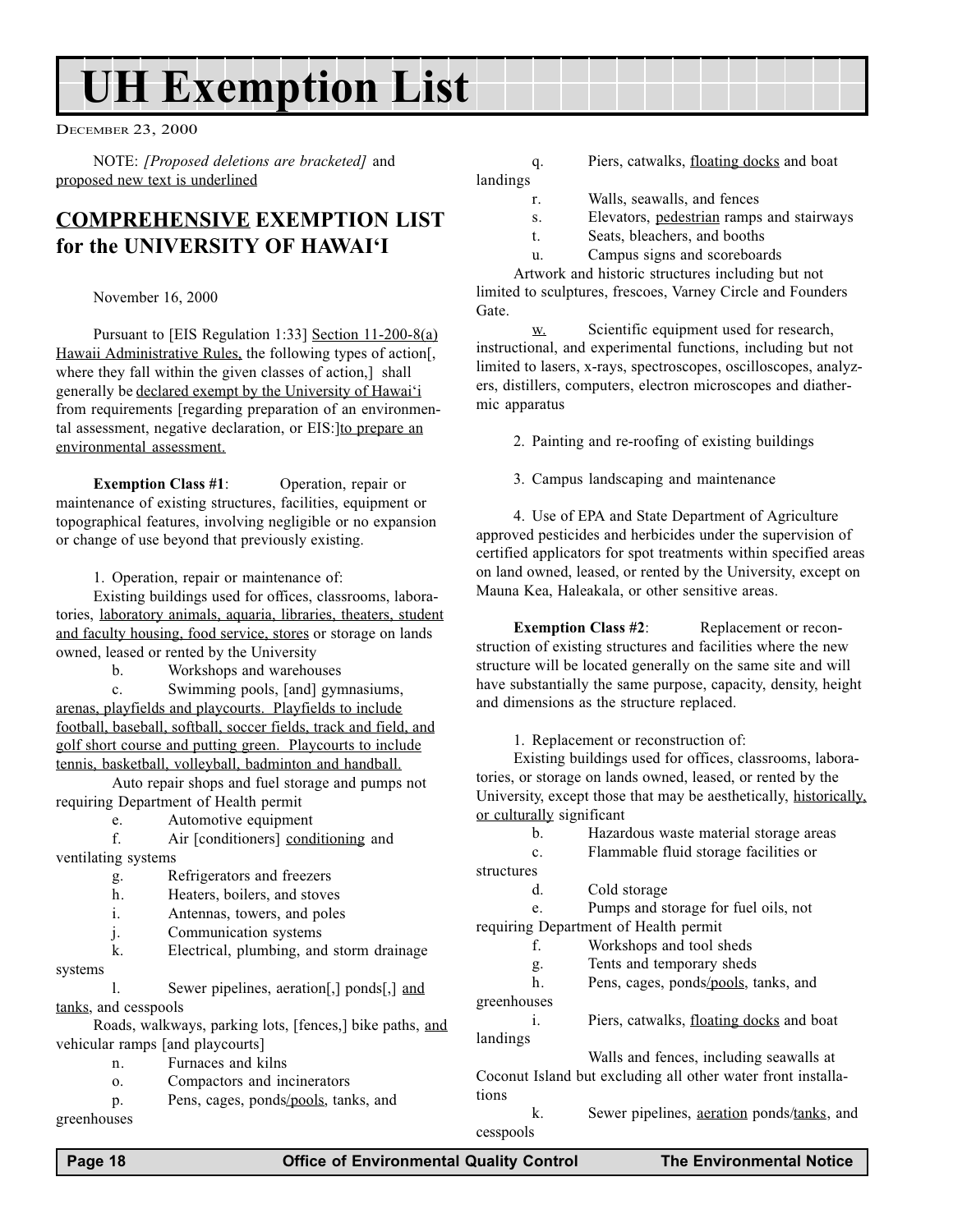## UH Exemption List

DECEMBER 23, 2000

NOTE: [Proposed deletions are bracketed] and proposed new text is underlined

#### COMPREHENSIVE EXEMPTION LIST for the UNIVERSITY OF HAWAI'I

November 16, 2000

Pursuant to [EIS Regulation 1:33] Section 11-200-8(a) Hawaii Administrative Rules, the following types of action[, where they fall within the given classes of action,] shall generally be declared exempt by the University of Hawai'i from requirements [regarding preparation of an environmental assessment, negative declaration, or EIS:]to prepare an environmental assessment.

Exemption Class #1: Operation, repair or maintenance of existing structures, facilities, equipment or topographical features, involving negligible or no expansion or change of use beyond that previously existing.

1. Operation, repair or maintenance of:

Existing buildings used for offices, classrooms, laboratories, laboratory animals, aquaria, libraries, theaters, student and faculty housing, food service, stores or storage on lands owned, leased or rented by the University

b. Workshops and warehouses

c. Swimming pools, [and] gymnasiums, arenas, playfields and playcourts. Playfields to include football, baseball, softball, soccer fields, track and field, and golf short course and putting green. Playcourts to include tennis, basketball, volleyball, badminton and handball.

Auto repair shops and fuel storage and pumps not requiring Department of Health permit

e. Automotive equipment

f. Air [conditioners] conditioning and ventilating systems

- g. Refrigerators and freezers
- h. Heaters, boilers, and stoves
- i. Antennas, towers, and poles
- j. Communication systems

k. Electrical, plumbing, and storm drainage systems

l. Sewer pipelines, aeration[,] ponds[,] and tanks, and cesspools

Roads, walkways, parking lots, [fences,] bike paths, and vehicular ramps [and playcourts]

n. Furnaces and kilns

o. Compactors and incinerators

p. Pens, cages, ponds/pools, tanks, and greenhouses

q. Piers, catwalks, floating docks and boat landings

- r. Walls, seawalls, and fences
- s. Elevators, pedestrian ramps and stairways
- t. Seats, bleachers, and booths
- u. Campus signs and scoreboards

Artwork and historic structures including but not limited to sculptures, frescoes, Varney Circle and Founders Gate.

w. Scientific equipment used for research, instructional, and experimental functions, including but not limited to lasers, x-rays, spectroscopes, oscilloscopes, analyzers, distillers, computers, electron microscopes and diathermic apparatus

2. Painting and re-roofing of existing buildings

3. Campus landscaping and maintenance

4. Use of EPA and State Department of Agriculture approved pesticides and herbicides under the supervision of certified applicators for spot treatments within specified areas on land owned, leased, or rented by the University, except on Mauna Kea, Haleakala, or other sensitive areas.

**Exemption Class #2:** Replacement or reconstruction of existing structures and facilities where the new structure will be located generally on the same site and will have substantially the same purpose, capacity, density, height and dimensions as the structure replaced.

1. Replacement or reconstruction of:

Existing buildings used for offices, classrooms, laboratories, or storage on lands owned, leased, or rented by the University, except those that may be aesthetically, historically, or culturally significant

| b.          | Hazardous waste material storage areas                       |
|-------------|--------------------------------------------------------------|
| c.          | Flammable fluid storage facilities or                        |
| structures  |                                                              |
| d.          | Cold storage                                                 |
| e.          | Pumps and storage for fuel oils, not                         |
|             | requiring Department of Health permit                        |
| f.          | Workshops and tool sheds                                     |
| g.          | Tents and temporary sheds                                    |
| h.          | Pens, cages, ponds/pools, tanks, and                         |
| greenhouses |                                                              |
| i.          | Piers, catwalks, floating docks and boat                     |
| landings    |                                                              |
|             | Walls and fences, including seawalls at                      |
|             | Coconut Island but excluding all other water front installa- |
| tions       |                                                              |
| k.          | Sewer pipelines, aeration ponds/tanks, and                   |
| cesspools   |                                                              |
|             |                                                              |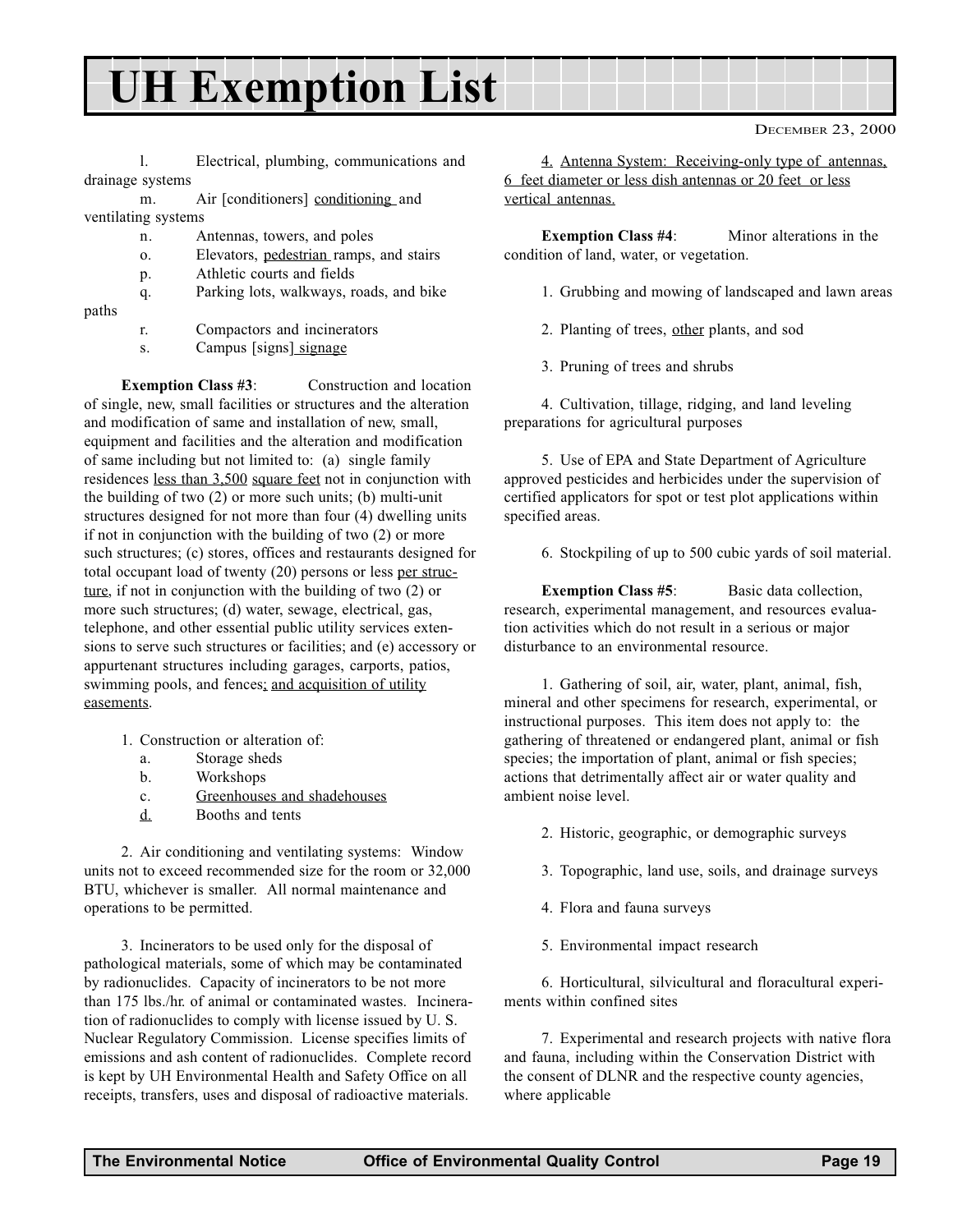### UH Exemption List

l. Electrical, plumbing, communications and drainage systems

m. Air [conditioners] conditioning and ventilating systems

- n. Antennas, towers, and poles
- o. Elevators, pedestrian ramps, and stairs
- p. Athletic courts and fields
- q. Parking lots, walkways, roads, and bike
- paths
- r. Compactors and incinerators
- s. Campus [signs<u>] signage</u>

Exemption Class #3: Construction and location of single, new, small facilities or structures and the alteration and modification of same and installation of new, small, equipment and facilities and the alteration and modification of same including but not limited to: (a) single family residences less than 3,500 square feet not in conjunction with the building of two (2) or more such units; (b) multi-unit structures designed for not more than four (4) dwelling units if not in conjunction with the building of two (2) or more such structures; (c) stores, offices and restaurants designed for total occupant load of twenty (20) persons or less per structure, if not in conjunction with the building of two (2) or more such structures; (d) water, sewage, electrical, gas, telephone, and other essential public utility services extensions to serve such structures or facilities; and (e) accessory or appurtenant structures including garages, carports, patios, swimming pools, and fences; and acquisition of utility easements.

- 1. Construction or alteration of:
	- a. Storage sheds
	- b. Workshops
	- c. Greenhouses and shadehouses
	- d. Booths and tents

2. Air conditioning and ventilating systems: Window units not to exceed recommended size for the room or 32,000 BTU, whichever is smaller. All normal maintenance and operations to be permitted.

3. Incinerators to be used only for the disposal of pathological materials, some of which may be contaminated by radionuclides. Capacity of incinerators to be not more than 175 lbs./hr. of animal or contaminated wastes. Incineration of radionuclides to comply with license issued by U. S. Nuclear Regulatory Commission. License specifies limits of emissions and ash content of radionuclides. Complete record is kept by UH Environmental Health and Safety Office on all receipts, transfers, uses and disposal of radioactive materials.

4. Antenna System: Receiving-only type of antennas, 6 feet diameter or less dish antennas or 20 feet or less vertical antennas.

Exemption Class #4: Minor alterations in the condition of land, water, or vegetation.

- 1. Grubbing and mowing of landscaped and lawn areas
- 2. Planting of trees, other plants, and sod
- 3. Pruning of trees and shrubs

4. Cultivation, tillage, ridging, and land leveling preparations for agricultural purposes

5. Use of EPA and State Department of Agriculture approved pesticides and herbicides under the supervision of certified applicators for spot or test plot applications within specified areas.

6. Stockpiling of up to 500 cubic yards of soil material.

Exemption Class #5: Basic data collection, research, experimental management, and resources evaluation activities which do not result in a serious or major disturbance to an environmental resource.

1. Gathering of soil, air, water, plant, animal, fish, mineral and other specimens for research, experimental, or instructional purposes. This item does not apply to: the gathering of threatened or endangered plant, animal or fish species; the importation of plant, animal or fish species; actions that detrimentally affect air or water quality and ambient noise level.

- 2. Historic, geographic, or demographic surveys
- 3. Topographic, land use, soils, and drainage surveys
- 4. Flora and fauna surveys
- 5. Environmental impact research

6. Horticultural, silvicultural and floracultural experiments within confined sites

7. Experimental and research projects with native flora and fauna, including within the Conservation District with the consent of DLNR and the respective county agencies, where applicable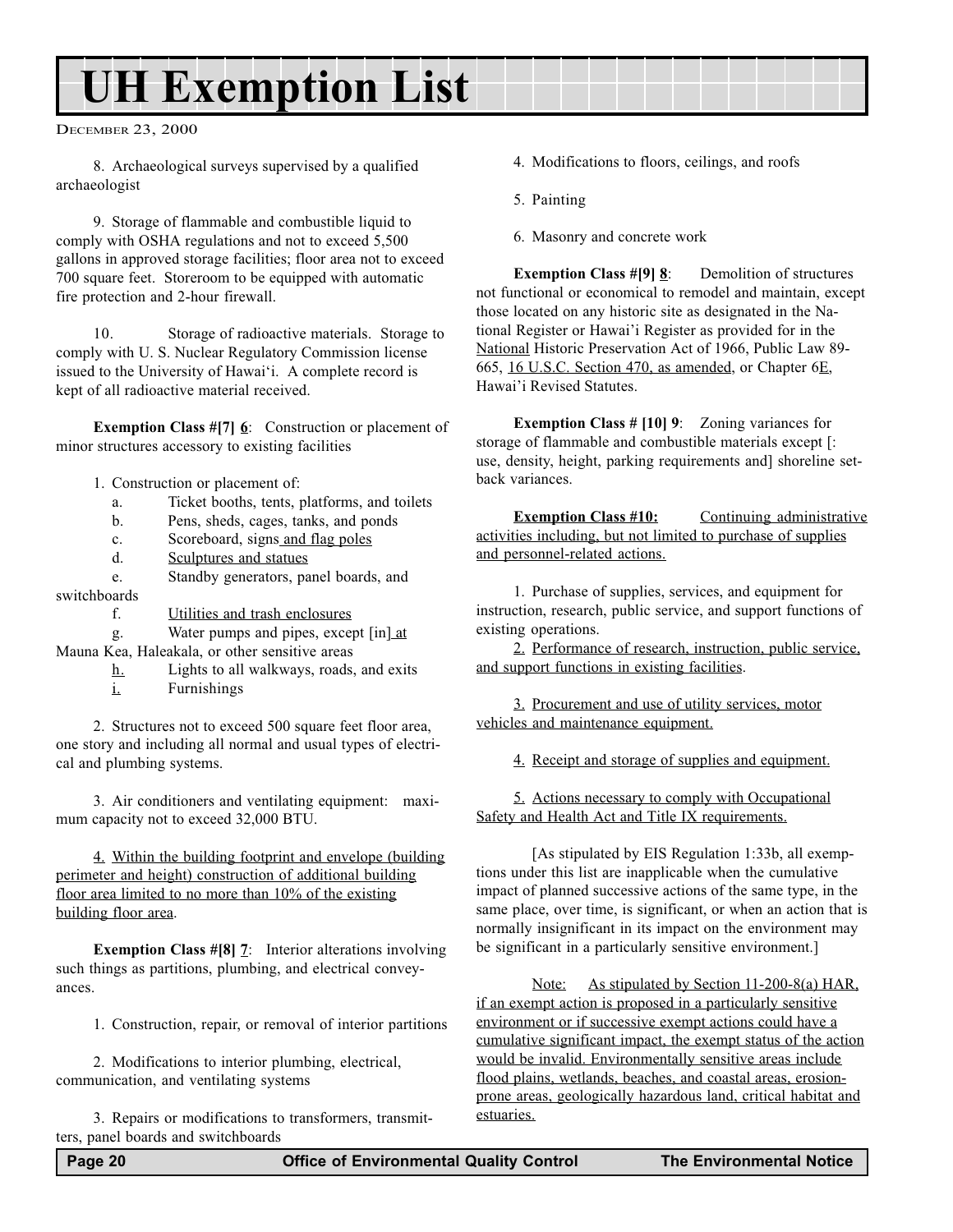## UH Exemption List

DECEMBER 23, 2000

8. Archaeological surveys supervised by a qualified archaeologist

9. Storage of flammable and combustible liquid to comply with OSHA regulations and not to exceed 5,500 gallons in approved storage facilities; floor area not to exceed 700 square feet. Storeroom to be equipped with automatic fire protection and 2-hour firewall.

10. Storage of radioactive materials. Storage to comply with U. S. Nuclear Regulatory Commission license issued to the University of Hawai'i. A complete record is kept of all radioactive material received.

**Exemption Class #[7] 6:** Construction or placement of minor structures accessory to existing facilities

- 1. Construction or placement of:
	- a. Ticket booths, tents, platforms, and toilets
	- b. Pens, sheds, cages, tanks, and ponds
	- c. Scoreboard, signs and flag poles
	- d. Sculptures and statues

e. Standby generators, panel boards, and switchboards

f. Utilities and trash enclosures

g. Water pumps and pipes, except [in] at Mauna Kea, Haleakala, or other sensitive areas

- h. Lights to all walkways, roads, and exits
- i. Furnishings

2. Structures not to exceed 500 square feet floor area, one story and including all normal and usual types of electrical and plumbing systems.

3. Air conditioners and ventilating equipment: maximum capacity not to exceed 32,000 BTU.

4. Within the building footprint and envelope (building perimeter and height) construction of additional building floor area limited to no more than 10% of the existing building floor area.

Exemption Class #[8] 7: Interior alterations involving such things as partitions, plumbing, and electrical conveyances.

1. Construction, repair, or removal of interior partitions

2. Modifications to interior plumbing, electrical, communication, and ventilating systems

3. Repairs or modifications to transformers, transmitters, panel boards and switchboards

- 4. Modifications to floors, ceilings, and roofs
- 5. Painting
- 6. Masonry and concrete work

**Exemption Class #[9] 8:** Demolition of structures not functional or economical to remodel and maintain, except those located on any historic site as designated in the National Register or Hawai'i Register as provided for in the National Historic Preservation Act of 1966, Public Law 89- 665, 16 U.S.C. Section 470, as amended, or Chapter 6E, Hawai'i Revised Statutes.

Exemption Class # [10] 9: Zoning variances for storage of flammable and combustible materials except [: use, density, height, parking requirements and] shoreline setback variances.

Exemption Class #10: Continuing administrative activities including, but not limited to purchase of supplies and personnel-related actions.

1. Purchase of supplies, services, and equipment for instruction, research, public service, and support functions of existing operations.

2. Performance of research, instruction, public service, and support functions in existing facilities.

3. Procurement and use of utility services, motor vehicles and maintenance equipment.

4. Receipt and storage of supplies and equipment.

5. Actions necessary to comply with Occupational Safety and Health Act and Title IX requirements.

[As stipulated by EIS Regulation 1:33b, all exemptions under this list are inapplicable when the cumulative impact of planned successive actions of the same type, in the same place, over time, is significant, or when an action that is normally insignificant in its impact on the environment may be significant in a particularly sensitive environment.]

Note: As stipulated by Section 11-200-8(a) HAR, if an exempt action is proposed in a particularly sensitive environment or if successive exempt actions could have a cumulative significant impact, the exempt status of the action would be invalid. Environmentally sensitive areas include flood plains, wetlands, beaches, and coastal areas, erosionprone areas, geologically hazardous land, critical habitat and estuaries.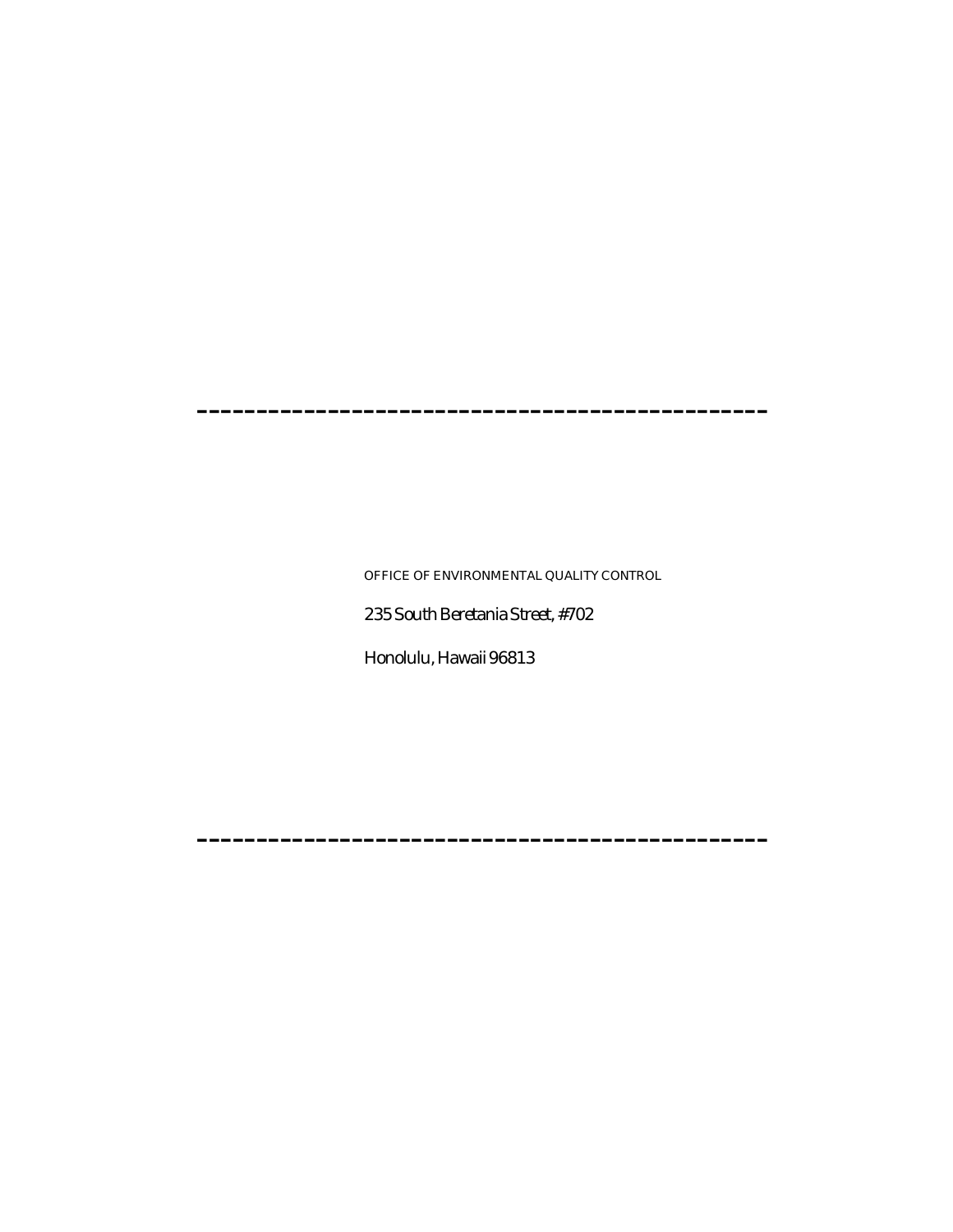------------------------------------------------

OFFICE OF ENVIRONMENTAL QUALITY CONTROL

235 South Beretania Street, #702

------------------------------------------------

Honolulu, Hawaii 96813